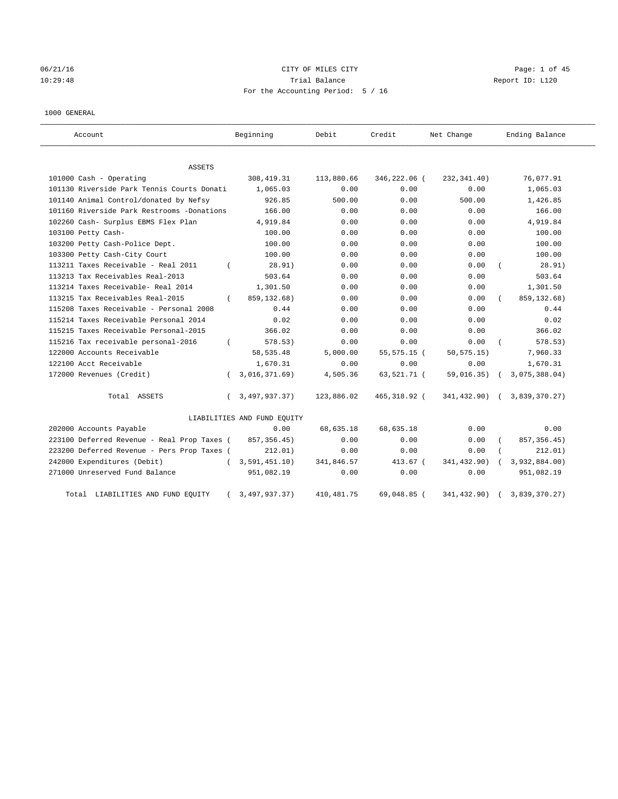# 06/21/16 CITY OF MILES CITY Page: 1 of 45 10:29:48 Trial Balance Report ID: L120 For the Accounting Period: 5 / 16

## 1000 GENERAL

| Account                                     | Beginning                   | Debit       | Credit       | Net Change  | Ending Balance |
|---------------------------------------------|-----------------------------|-------------|--------------|-------------|----------------|
| ASSETS                                      |                             |             |              |             |                |
| 101000 Cash - Operating                     | 308, 419.31                 | 113,880.66  | 346,222.06 ( | 232,341.40) | 76,077.91      |
| 101130 Riverside Park Tennis Courts Donati  | 1,065.03                    | 0.00        | 0.00         | 0.00        | 1,065.03       |
| 101140 Animal Control/donated by Nefsy      | 926.85                      | 500.00      | 0.00         | 500.00      | 1,426.85       |
| 101160 Riverside Park Restrooms -Donations  | 166.00                      | 0.00        | 0.00         | 0.00        | 166.00         |
| 102260 Cash- Surplus EBMS Flex Plan         | 4,919.84                    | 0.00        | 0.00         | 0.00        | 4,919.84       |
| 103100 Petty Cash-                          | 100.00                      | 0.00        | 0.00         | 0.00        | 100.00         |
| 103200 Petty Cash-Police Dept.              | 100.00                      | 0.00        | 0.00         | 0.00        | 100.00         |
| 103300 Petty Cash-City Court                | 100.00                      | 0.00        | 0.00         | 0.00        | 100.00         |
| 113211 Taxes Receivable - Real 2011         | 28.91)                      | 0.00        | 0.00         | 0.00        | 28.91)         |
| 113213 Tax Receivables Real-2013            | 503.64                      | 0.00        | 0.00         | 0.00        | 503.64         |
| 113214 Taxes Receivable- Real 2014          | 1,301.50                    | 0.00        | 0.00         | 0.00        | 1,301.50       |
| 113215 Tax Receivables Real-2015            | 859, 132.68)<br>$\left($    | 0.00        | 0.00         | 0.00        | 859, 132.68)   |
| 115208 Taxes Receivable - Personal 2008     | 0.44                        | 0.00        | 0.00         | 0.00        | 0.44           |
| 115214 Taxes Receivable Personal 2014       | 0.02                        | 0.00        | 0.00         | 0.00        | 0.02           |
| 115215 Taxes Receivable Personal-2015       | 366.02                      | 0.00        | 0.00         | 0.00        | 366.02         |
| 115216 Tax receivable personal-2016         | 578.53)                     | 0.00        | 0.00         | 0.00        | 578.53)        |
| 122000 Accounts Receivable                  | 58, 535.48                  | 5,000.00    | 55,575.15 (  | 50, 575.15) | 7,960.33       |
| 122100 Acct Receivable                      | 1,670.31                    | 0.00        | 0.00         | 0.00        | 1,670.31       |
| 172000 Revenues (Credit)                    | 3,016,371.69)<br>$\left($   | 4,505.36    | 63,521.71 (  | 59,016.35)  | 3,075,388.04)  |
| Total ASSETS                                | 3,497,937.37)<br>$\left($   | 123,886.02  | 465,318.92 ( | 341,432.90) | 3,839,370.27)  |
|                                             | LIABILITIES AND FUND EQUITY |             |              |             |                |
| 202000 Accounts Payable                     | 0.00                        | 68,635.18   | 68,635.18    | 0.00        | 0.00           |
| 223100 Deferred Revenue - Real Prop Taxes ( | 857, 356.45)                | 0.00        | 0.00         | 0.00        | 857, 356.45)   |
| 223200 Deferred Revenue - Pers Prop Taxes ( | 212.01)                     | 0.00        | 0.00         | 0.00        | 212.01)        |
| 242000 Expenditures (Debit)                 | 3,591,451.10)               | 341,846.57  | 413.67 (     | 341,432.90) | 3,932,884.00)  |
| 271000 Unreserved Fund Balance              | 951,082.19                  | 0.00        | 0.00         | 0.00        | 951,082.19     |
| Total LIABILITIES AND FUND EQUITY           | 3,497,937.37)               | 410, 481.75 | 69,048.85 (  | 341,432.90) | 3,839,370.27)  |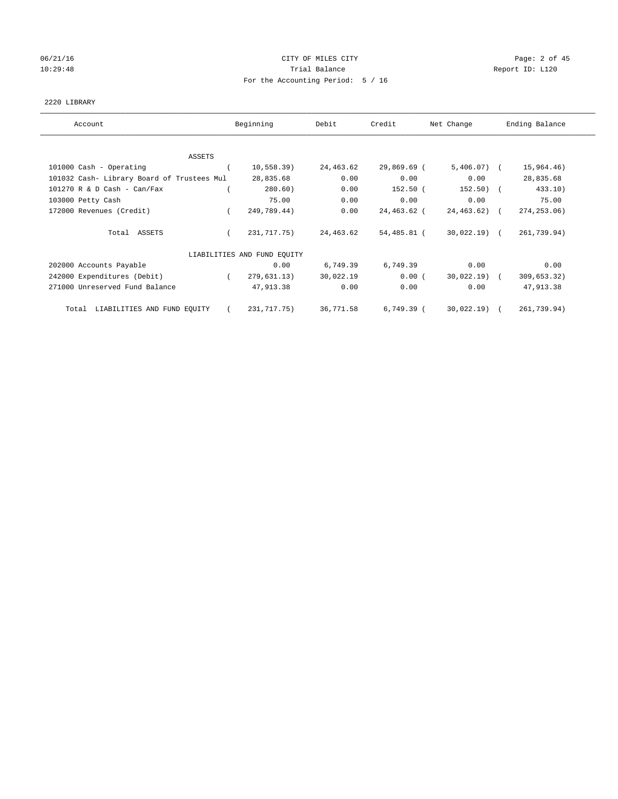# 06/21/16 Page: 2 of 45 10:29:48 Report ID: L120 For the Accounting Period: 5 / 16

## 2220 LIBRARY

| Account                                    | Beginning                   | Debit     | Credit       | Net Change       | Ending Balance |
|--------------------------------------------|-----------------------------|-----------|--------------|------------------|----------------|
|                                            |                             |           |              |                  |                |
| ASSETS<br>101000 Cash - Operating          | 10,558.39)                  | 24,463.62 | 29,869.69 (  | $5,406.07$ (     | 15,964.46)     |
| 101032 Cash- Library Board of Trustees Mul | 28,835.68                   | 0.00      | 0.00         | 0.00             | 28,835.68      |
| $101270$ R & D Cash - Can/Fax              | 280.60)                     | 0.00      | $152.50$ (   | $152.50$ (       | 433.10)        |
| 103000 Petty Cash                          | 75.00                       | 0.00      | 0.00         | 0.00             | 75.00          |
| 172000 Revenues (Credit)                   | 249,789.44)                 | 0.00      | 24,463.62 (  | $24, 463, 62)$ ( | 274, 253.06)   |
| Total ASSETS                               | 231,717.75)                 | 24,463.62 | 54,485.81 (  | $30,022.19$ (    | 261,739.94)    |
|                                            | LIABILITIES AND FUND EQUITY |           |              |                  |                |
| 202000 Accounts Payable                    | 0.00                        | 6,749.39  | 6,749.39     | 0.00             | 0.00           |
| 242000 Expenditures (Debit)                | 279,631.13)                 | 30,022.19 | $0.00$ (     | $30,022.19$ (    | 309,653.32)    |
| 271000 Unreserved Fund Balance             | 47,913.38                   | 0.00      | 0.00         | 0.00             | 47,913.38      |
| LIABILITIES AND FUND EQUITY<br>Total       | 231,717.75)                 | 36,771.58 | $6,749.39$ ( | $30,022.19$ (    | 261,739.94)    |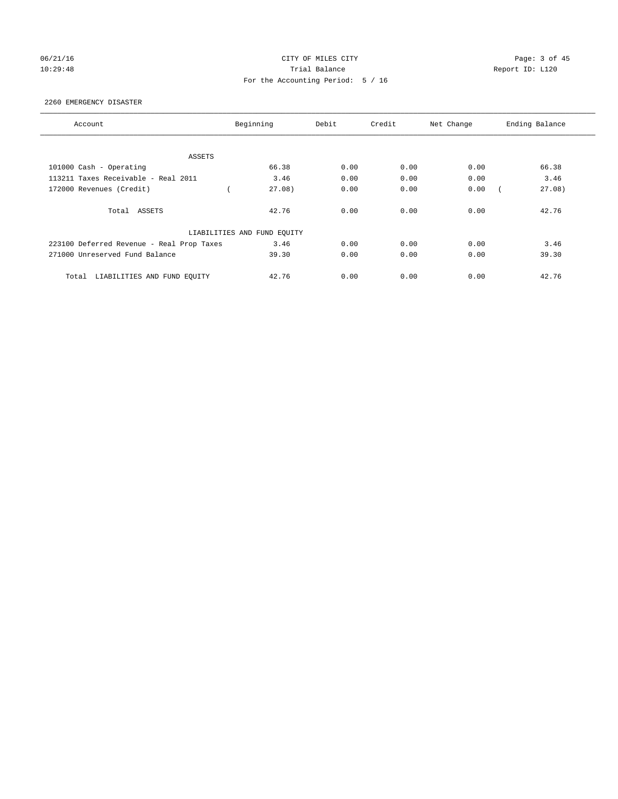## 06/21/16 CITY OF MILES CITY Page: 3 of 45 10:29:48 Report ID: L120 For the Accounting Period: 5 / 16

## 2260 EMERGENCY DISASTER

| Account                                   | Beginning                   | Debit | Credit | Net Change | Ending Balance |
|-------------------------------------------|-----------------------------|-------|--------|------------|----------------|
|                                           |                             |       |        |            |                |
| ASSETS                                    |                             |       |        |            |                |
| 101000 Cash - Operating                   | 66.38                       | 0.00  | 0.00   | 0.00       | 66.38          |
| 113211 Taxes Receivable - Real 2011       | 3.46                        | 0.00  | 0.00   | 0.00       | 3.46           |
| 172000 Revenues (Credit)                  | 27.08)                      | 0.00  | 0.00   | 0.00       | 27.08)         |
| Total ASSETS                              | 42.76                       | 0.00  | 0.00   | 0.00       | 42.76          |
|                                           | LIABILITIES AND FUND EQUITY |       |        |            |                |
| 223100 Deferred Revenue - Real Prop Taxes | 3.46                        | 0.00  | 0.00   | 0.00       | 3.46           |
| 271000 Unreserved Fund Balance            | 39.30                       | 0.00  | 0.00   | 0.00       | 39.30          |
| LIABILITIES AND FUND EQUITY<br>Total      | 42.76                       | 0.00  | 0.00   | 0.00       | 42.76          |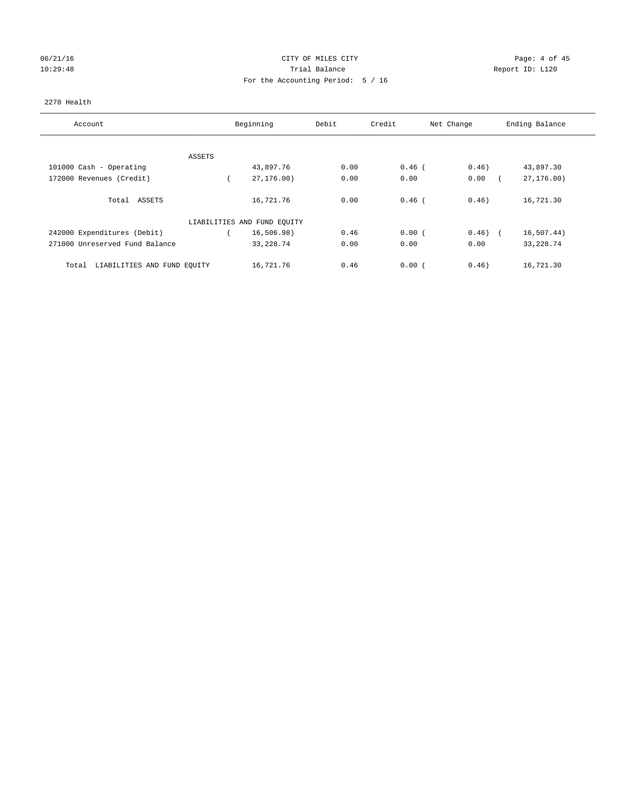# 06/21/16 Page: 4 of 45 10:29:48 Report ID: L120 For the Accounting Period: 5 / 16

## 2270 Health

| Account                              |        | Beginning                   | Debit | Credit   | Net Change | Ending Balance |
|--------------------------------------|--------|-----------------------------|-------|----------|------------|----------------|
|                                      |        |                             |       |          |            |                |
|                                      | ASSETS |                             |       |          |            |                |
| 101000 Cash - Operating              |        | 43,897.76                   | 0.00  | $0.46$ ( | 0.46)      | 43,897.30      |
| 172000 Revenues (Credit)             |        | 27, 176, 00)                | 0.00  | 0.00     | 0.00       | 27, 176.00     |
| Total ASSETS                         |        | 16,721.76                   | 0.00  | $0.46$ ( | 0.46)      | 16,721.30      |
|                                      |        | LIABILITIES AND FUND EQUITY |       |          |            |                |
| 242000 Expenditures (Debit)          |        | 16, 506.98)                 | 0.46  | 0.00(    | $0.46)$ (  | 16, 507.44)    |
| 271000 Unreserved Fund Balance       |        | 33, 228.74                  | 0.00  | 0.00     | 0.00       | 33, 228.74     |
| LIABILITIES AND FUND EQUITY<br>Total |        | 16,721.76                   | 0.46  | 0.00(    | 0.46)      | 16,721.30      |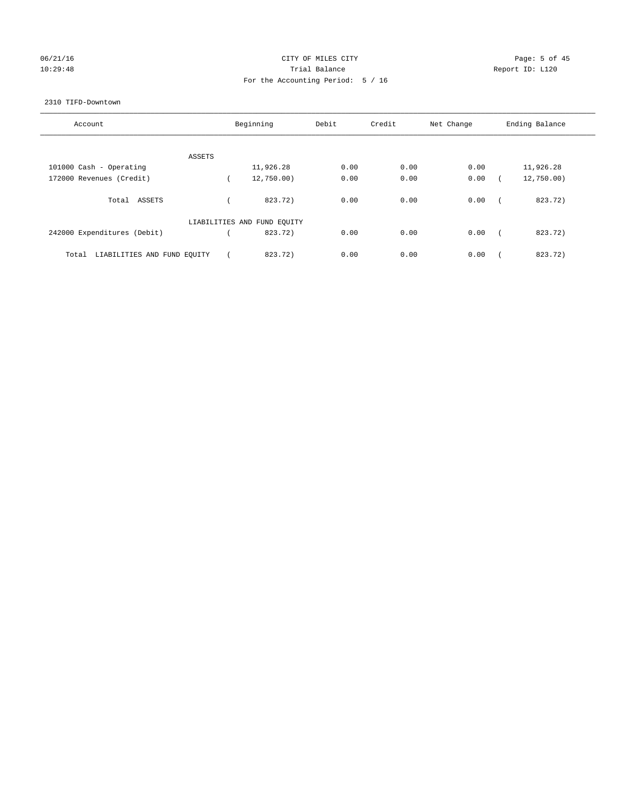# 06/21/16 Page: 5 of 45 10:29:48 Report ID: L120 For the Accounting Period: 5 / 16

## 2310 TIFD-Downtown

| Account                              | Beginning                   | Debit | Credit | Net Change | Ending Balance |
|--------------------------------------|-----------------------------|-------|--------|------------|----------------|
|                                      |                             |       |        |            |                |
| ASSETS                               |                             | 0.00  | 0.00   | 0.00       |                |
| 101000 Cash - Operating              | 11,926.28                   |       |        |            | 11,926.28      |
| 172000 Revenues (Credit)             | 12,750.00)                  | 0.00  | 0.00   | 0.00       | 12,750.00)     |
|                                      |                             |       |        |            |                |
| Total<br>ASSETS                      | 823.72)                     | 0.00  | 0.00   | 0.00       | 823.72)        |
|                                      | LIABILITIES AND FUND EQUITY |       |        |            |                |
| 242000 Expenditures (Debit)          | 823.72)                     | 0.00  | 0.00   | 0.00       | 823.72)        |
| LIABILITIES AND FUND EQUITY<br>Total | 823.72)                     | 0.00  | 0.00   | 0.00       | 823.72)        |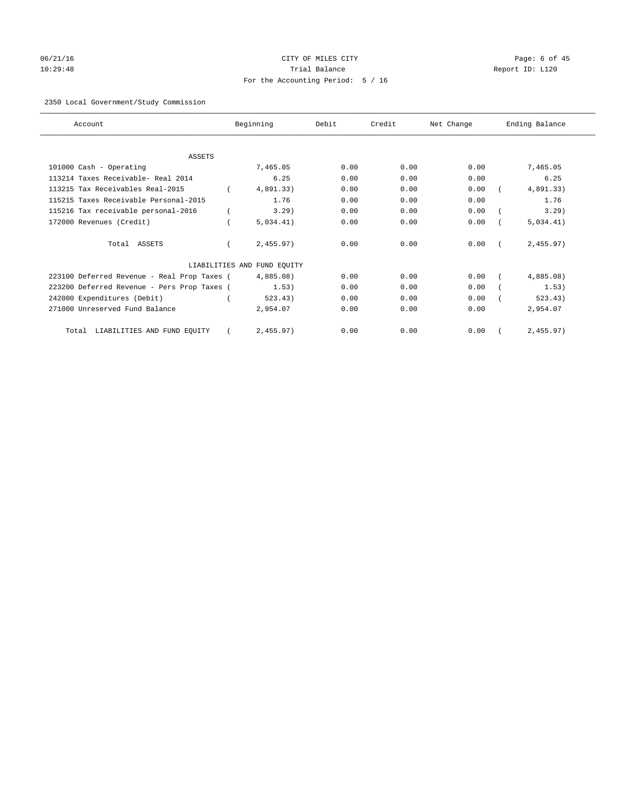# 06/21/16 Page: 6 of 45 10:29:48 Trial Balance Report ID: L120 For the Accounting Period: 5 / 16

## 2350 Local Government/Study Commission

| Account                                     | Beginning                   | Debit | Credit | Net Change | Ending Balance |
|---------------------------------------------|-----------------------------|-------|--------|------------|----------------|
|                                             |                             |       |        |            |                |
| <b>ASSETS</b>                               |                             |       |        |            |                |
| 101000 Cash - Operating                     | 7,465.05                    | 0.00  | 0.00   | 0.00       | 7,465.05       |
| 113214 Taxes Receivable- Real 2014          | 6.25                        | 0.00  | 0.00   | 0.00       | 6.25           |
| 113215 Tax Receivables Real-2015            | 4,891.33)                   | 0.00  | 0.00   | 0.00       | 4,891.33)      |
| 115215 Taxes Receivable Personal-2015       | 1.76                        | 0.00  | 0.00   | 0.00       | 1.76           |
| 115216 Tax receivable personal-2016         | 3.29                        | 0.00  | 0.00   | 0.00       | 3.29)          |
| 172000 Revenues (Credit)                    | 5.034.41)                   | 0.00  | 0.00   | 0.00       | 5.034.41)      |
| Total ASSETS                                | 2,455.97)                   | 0.00  | 0.00   | 0.00       | 2,455.97       |
|                                             | LIABILITIES AND FUND EQUITY |       |        |            |                |
| 223100 Deferred Revenue - Real Prop Taxes ( | 4,885.08)                   | 0.00  | 0.00   | 0.00       | 4,885.08)      |
| 223200 Deferred Revenue - Pers Prop Taxes ( | 1.53)                       | 0.00  | 0.00   | 0.00       | 1.53)          |
| 242000 Expenditures (Debit)                 | 523.43)                     | 0.00  | 0.00   | 0.00       | 523.43)        |
| 271000 Unreserved Fund Balance              | 2,954.07                    | 0.00  | 0.00   | 0.00       | 2,954.07       |
| LIABILITIES AND FUND EQUITY<br>Total        | 2,455.97)                   | 0.00  | 0.00   | 0.00       | 2,455.97)      |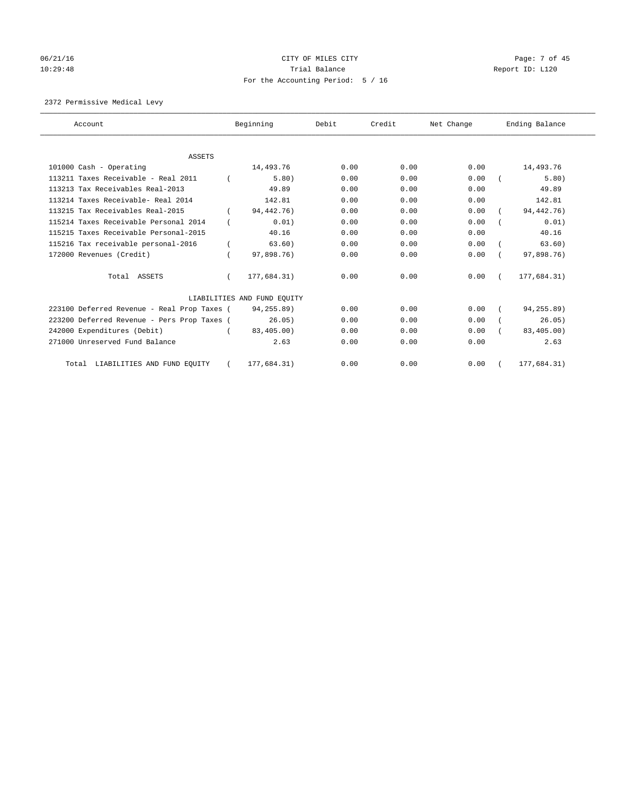# 06/21/16 Page: 7 of 45 10:29:48 Report ID: L120 For the Accounting Period: 5 / 16

2372 Permissive Medical Levy

| Account                                     |          | Beginning                   | Debit | Credit | Net Change | Ending Balance |
|---------------------------------------------|----------|-----------------------------|-------|--------|------------|----------------|
|                                             |          |                             |       |        |            |                |
| <b>ASSETS</b>                               |          |                             | 0.00  | 0.00   | 0.00       |                |
| 101000 Cash - Operating                     |          | 14,493.76                   |       |        |            | 14,493.76      |
| 113211 Taxes Receivable - Real 2011         |          | 5.80)                       | 0.00  | 0.00   | 0.00       | 5.80)          |
| 113213 Tax Receivables Real-2013            |          | 49.89                       | 0.00  | 0.00   | 0.00       | 49.89          |
| 113214 Taxes Receivable- Real 2014          |          | 142.81                      | 0.00  | 0.00   | 0.00       | 142.81         |
| 113215 Tax Receivables Real-2015            |          | 94, 442. 76)                | 0.00  | 0.00   | 0.00       | 94, 442. 76)   |
| 115214 Taxes Receivable Personal 2014       |          | 0.01)                       | 0.00  | 0.00   | 0.00       | 0.01)          |
| 115215 Taxes Receivable Personal-2015       |          | 40.16                       | 0.00  | 0.00   | 0.00       | 40.16          |
| 115216 Tax receivable personal-2016         |          | 63.60)                      | 0.00  | 0.00   | 0.00       | 63.60)         |
| 172000 Revenues (Credit)                    |          | 97,898.76)                  | 0.00  | 0.00   | 0.00       | 97,898.76)     |
| Total ASSETS                                | $\left($ | 177,684.31)                 | 0.00  | 0.00   | 0.00       | 177,684.31)    |
|                                             |          | LIABILITIES AND FUND EQUITY |       |        |            |                |
| 223100 Deferred Revenue - Real Prop Taxes ( |          | 94,255.89)                  | 0.00  | 0.00   | 0.00       | 94,255.89)     |
| 223200 Deferred Revenue - Pers Prop Taxes ( |          | 26.05)                      | 0.00  | 0.00   | 0.00       | 26.05)         |
| 242000 Expenditures (Debit)                 |          | 83,405,00                   | 0.00  | 0.00   | 0.00       | 83,405.00)     |
| 271000 Unreserved Fund Balance              |          | 2.63                        | 0.00  | 0.00   | 0.00       | 2.63           |
| LIABILITIES AND FUND EQUITY<br>Total        |          | 177,684.31)                 | 0.00  | 0.00   | 0.00       | 177,684.31)    |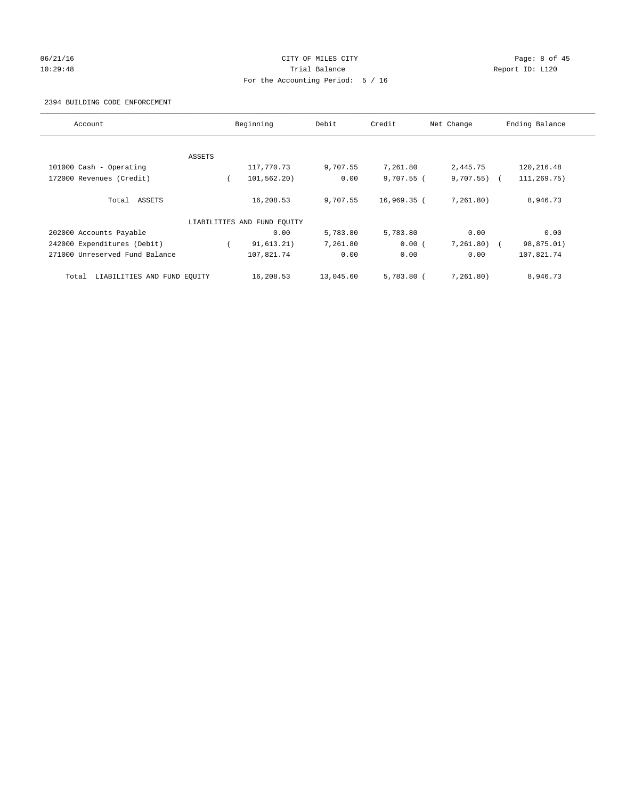## 06/21/16 CITY OF MILES CITY Page: 8 of 45 10:29:48 Trial Balance Report ID: L120 For the Accounting Period: 5 / 16

## 2394 BUILDING CODE ENFORCEMENT

| Account                              |        | Beginning                   | Debit     | Credit       | Net Change     | Ending Balance |
|--------------------------------------|--------|-----------------------------|-----------|--------------|----------------|----------------|
|                                      |        |                             |           |              |                |                |
|                                      | ASSETS |                             |           |              |                |                |
| 101000 Cash - Operating              |        | 117,770.73                  | 9,707.55  | 7,261.80     | 2,445.75       | 120,216.48     |
| 172000 Revenues (Credit)             |        | 101,562.20)                 | 0.00      | $9,707.55$ ( | $9,707.55$ ) ( | 111,269.75)    |
| Total ASSETS                         |        | 16,208.53                   | 9,707.55  | 16,969.35 (  | 7,261.80)      | 8,946.73       |
|                                      |        | LIABILITIES AND FUND EQUITY |           |              |                |                |
| 202000 Accounts Payable              |        | 0.00                        | 5,783.80  | 5,783.80     | 0.00           | 0.00           |
| 242000 Expenditures (Debit)          |        | 91, 613.21)                 | 7,261.80  | 0.00(        | $7,261.80$ (   | 98,875.01)     |
| 271000 Unreserved Fund Balance       |        | 107,821.74                  | 0.00      | 0.00         | 0.00           | 107,821.74     |
| LIABILITIES AND FUND EQUITY<br>Total |        | 16,208.53                   | 13,045.60 | $5.783.80$ ( | 7.261.80)      | 8,946.73       |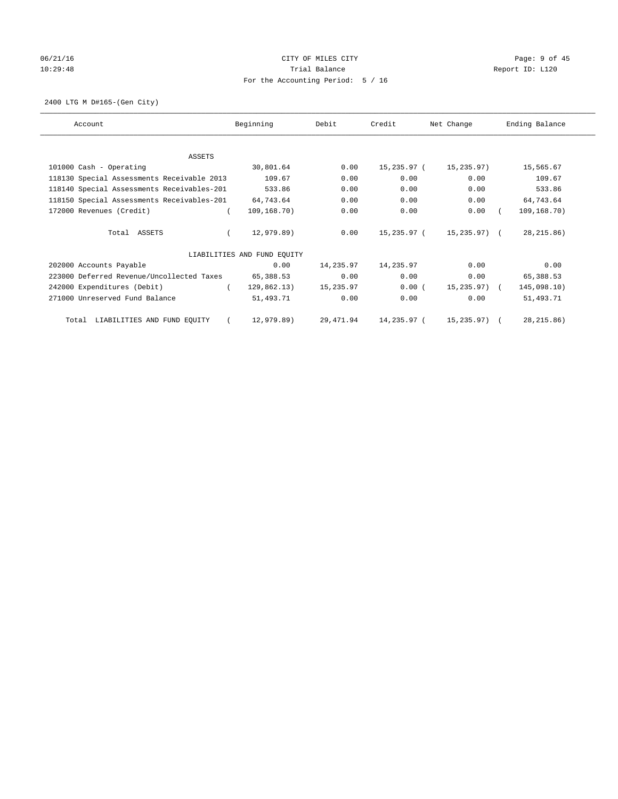# 06/21/16 Page: 9 of 45 10:29:48 Report ID: L120 For the Accounting Period: 5 / 16

2400 LTG M D#165-(Gen City)

| Account                                    | Beginning                   | Debit     | Credit      | Net Change   | Ending Balance |
|--------------------------------------------|-----------------------------|-----------|-------------|--------------|----------------|
|                                            |                             |           |             |              |                |
| ASSETS                                     |                             |           |             |              |                |
| 101000 Cash - Operating                    | 30,801.64                   | 0.00      | 15,235.97 ( | 15,235.97)   | 15,565.67      |
| 118130 Special Assessments Receivable 2013 | 109.67                      | 0.00      | 0.00        | 0.00         | 109.67         |
| 118140 Special Assessments Receivables-201 | 533.86                      | 0.00      | 0.00        | 0.00         | 533.86         |
| 118150 Special Assessments Receivables-201 | 64,743.64                   | 0.00      | 0.00        | 0.00         | 64,743.64      |
| 172000 Revenues (Credit)                   | 109,168.70)                 | 0.00      | 0.00        | 0.00         | 109,168.70)    |
| Total ASSETS                               | 12,979.89)                  | 0.00      | 15,235.97 ( | 15,235.97) ( | 28, 215.86)    |
|                                            | LIABILITIES AND FUND EQUITY |           |             |              |                |
| 202000 Accounts Payable                    | 0.00                        | 14,235.97 | 14,235.97   | 0.00         | 0.00           |
| 223000 Deferred Revenue/Uncollected Taxes  | 65,388.53                   | 0.00      | 0.00        | 0.00         | 65,388.53      |
| 242000 Expenditures (Debit)                | 129,862.13)                 | 15,235.97 | 0.00(       | 15,235.97) ( | 145,098.10)    |
| 271000 Unreserved Fund Balance             | 51,493.71                   | 0.00      | 0.00        | 0.00         | 51,493.71      |
| LIABILITIES AND FUND EQUITY<br>Total       | 12,979.89)                  | 29,471.94 | 14,235.97 ( | 15,235.97) ( | 28, 215.86)    |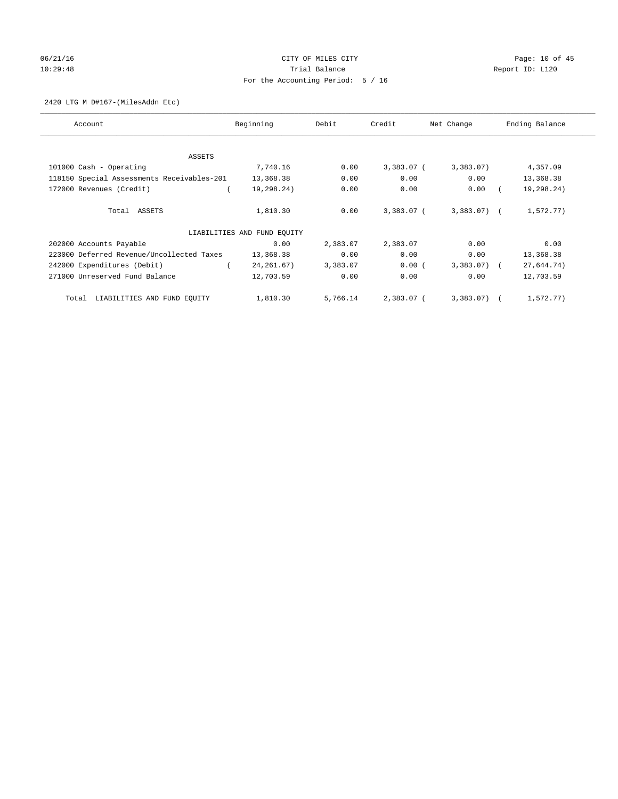# 06/21/16 Page: 10 of 45 10:29:48 **Trial Balance Trial Balance Report ID:** L120 For the Accounting Period: 5 / 16

## 2420 LTG M D#167-(MilesAddn Etc)

| Account                                    | Beginning                   | Debit    | Credit     | Net Change   | Ending Balance |
|--------------------------------------------|-----------------------------|----------|------------|--------------|----------------|
| ASSETS                                     |                             |          |            |              |                |
| 101000 Cash - Operating                    | 7,740.16                    | 0.00     | 3,383.07 ( | 3,383.07     | 4,357.09       |
| 118150 Special Assessments Receivables-201 | 13,368.38                   | 0.00     | 0.00       | 0.00         | 13,368.38      |
| 172000 Revenues (Credit)                   | 19,298.24)                  | 0.00     | 0.00       | 0.00         | 19,298.24)     |
| Total ASSETS                               | 1,810.30                    | 0.00     | 3,383.07 ( | $3,383.07$ ( | 1,572.77)      |
|                                            | LIABILITIES AND FUND EQUITY |          |            |              |                |
| 202000 Accounts Payable                    | 0.00                        | 2,383.07 | 2,383.07   | 0.00         | 0.00           |
| 223000 Deferred Revenue/Uncollected Taxes  | 13,368.38                   | 0.00     | 0.00       | 0.00         | 13,368.38      |
| 242000 Expenditures (Debit)                | 24, 261.67)                 | 3,383.07 | 0.00(      | 3,383.07) (  | 27,644.74)     |
| 271000 Unreserved Fund Balance             | 12,703.59                   | 0.00     | 0.00       | 0.00         | 12,703.59      |
| LIABILITIES AND FUND EQUITY<br>Total       | 1,810.30                    | 5,766.14 | 2,383.07 ( | $3,383.07$ ( | 1,572.77)      |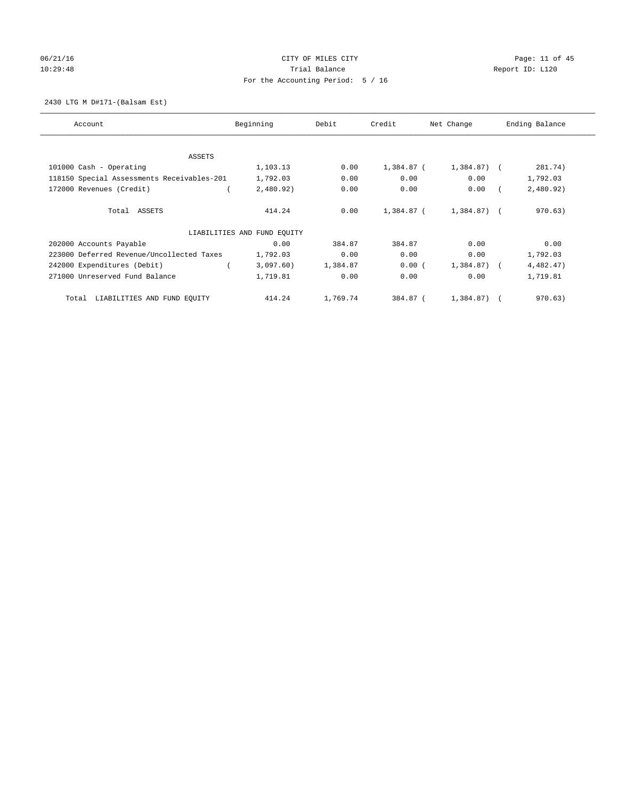# 06/21/16 Page: 11 of 45 10:29:48 **Trial Balance Trial Balance Report ID:** L120 For the Accounting Period: 5 / 16

## 2430 LTG M D#171-(Balsam Est)

| Account                                    | Beginning                   | Debit    | Credit     | Net Change   | Ending Balance |
|--------------------------------------------|-----------------------------|----------|------------|--------------|----------------|
| ASSETS                                     |                             |          |            |              |                |
| 101000 Cash - Operating                    | 1,103.13                    | 0.00     | 1,384.87 ( | $1,384.87$ ( | 281.74)        |
| 118150 Special Assessments Receivables-201 | 1,792.03                    | 0.00     | 0.00       | 0.00         | 1,792.03       |
| 172000 Revenues (Credit)                   | 2,480.92)                   | 0.00     | 0.00       | 0.00         | 2,480.92)      |
| Total ASSETS                               | 414.24                      | 0.00     | 1,384.87 ( | 1,384.87) (  | 970.63)        |
|                                            | LIABILITIES AND FUND EQUITY |          |            |              |                |
| 202000 Accounts Payable                    | 0.00                        | 384.87   | 384.87     | 0.00         | 0.00           |
| 223000 Deferred Revenue/Uncollected Taxes  | 1,792.03                    | 0.00     | 0.00       | 0.00         | 1,792.03       |
| 242000 Expenditures (Debit)                | 3,097.60)                   | 1,384.87 | 0.00(      | 1,384.87) (  | 4,482.47)      |
| 271000 Unreserved Fund Balance             | 1,719.81                    | 0.00     | 0.00       | 0.00         | 1,719.81       |
| LIABILITIES AND FUND EQUITY<br>Total       | 414.24                      | 1,769.74 | 384.87 (   | $1,384.87$ ( | 970.63)        |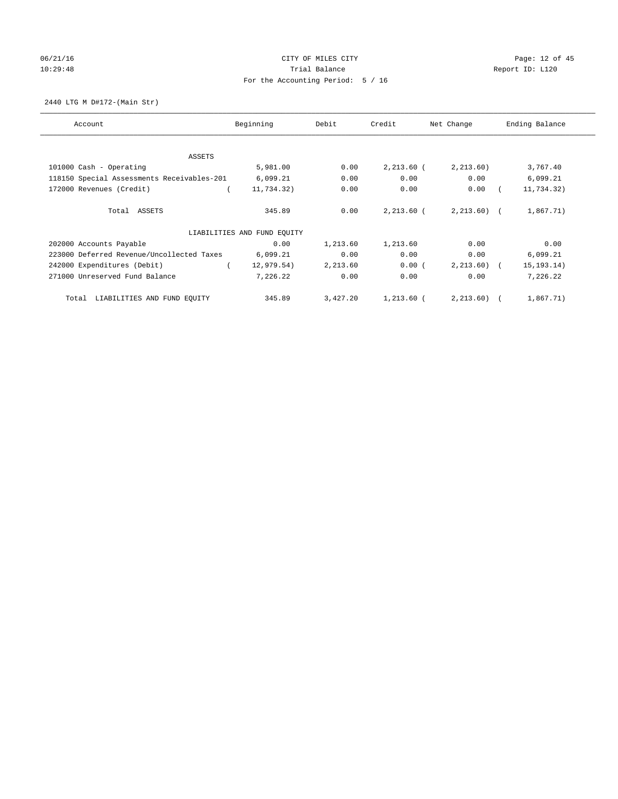# 06/21/16 Page: 12 of 45 10:29:48 **Trial Balance Trial Balance Report ID:** L120 For the Accounting Period: 5 / 16

2440 LTG M D#172-(Main Str)

| Account                                    | Beginning                   | Debit    | Credit       | Net Change   | Ending Balance |
|--------------------------------------------|-----------------------------|----------|--------------|--------------|----------------|
| ASSETS                                     |                             |          |              |              |                |
| 101000 Cash - Operating                    | 5,981.00                    | 0.00     | $2,213.60$ ( | 2, 213.60)   | 3,767.40       |
| 118150 Special Assessments Receivables-201 | 6,099.21                    | 0.00     | 0.00         | 0.00         | 6,099.21       |
| 172000 Revenues (Credit)                   | 11,734.32)                  | 0.00     | 0.00         | 0.00         | 11,734.32)     |
| Total ASSETS                               | 345.89                      | 0.00     | 2,213.60 (   | $2,213.60$ ( | 1,867.71)      |
|                                            | LIABILITIES AND FUND EQUITY |          |              |              |                |
| 202000 Accounts Payable                    | 0.00                        | 1,213.60 | 1,213.60     | 0.00         | 0.00           |
| 223000 Deferred Revenue/Uncollected Taxes  | 6,099.21                    | 0.00     | 0.00         | 0.00         | 6,099.21       |
| 242000 Expenditures (Debit)                | 12,979.54)                  | 2,213.60 | 0.00(        | $2,213.60$ ( | 15, 193.14)    |
| 271000 Unreserved Fund Balance             | 7,226.22                    | 0.00     | 0.00         | 0.00         | 7,226.22       |
| LIABILITIES AND FUND EQUITY<br>Total       | 345.89                      | 3,427.20 | $1,213.60$ ( | 2, 213.60)   | 1,867.71)      |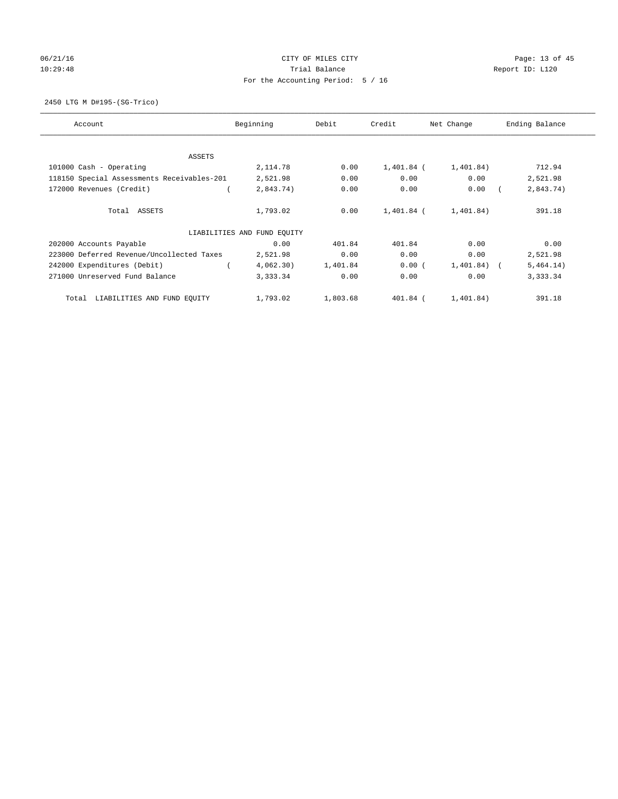# 06/21/16 Page: 13 of 45 10:29:48 **Trial Balance Trial Balance Report ID:** L120 For the Accounting Period: 5 / 16

2450 LTG M D#195-(SG-Trico)

| Account                                    | Beginning                   | Debit    | Credit       | Net Change  | Ending Balance |  |  |
|--------------------------------------------|-----------------------------|----------|--------------|-------------|----------------|--|--|
| ASSETS                                     |                             |          |              |             |                |  |  |
| 101000 Cash - Operating                    | 2,114.78                    | 0.00     | $1,401.84$ ( | 1,401.84)   | 712.94         |  |  |
| 118150 Special Assessments Receivables-201 | 2,521.98                    | 0.00     | 0.00         | 0.00        | 2,521.98       |  |  |
| 172000 Revenues (Credit)                   | 2,843.74)                   | 0.00     | 0.00         | 0.00        | 2,843.74)      |  |  |
| Total ASSETS                               | 1,793.02                    | 0.00     | 1,401.84 (   | 1,401.84)   | 391.18         |  |  |
|                                            | LIABILITIES AND FUND EQUITY |          |              |             |                |  |  |
| 202000 Accounts Payable                    | 0.00                        | 401.84   | 401.84       | 0.00        | 0.00           |  |  |
| 223000 Deferred Revenue/Uncollected Taxes  | 2,521.98                    | 0.00     | 0.00         | 0.00        | 2,521.98       |  |  |
| 242000 Expenditures (Debit)                | 4,062.30)                   | 1,401.84 | 0.00(        | 1,401.84) ( | 5,464.14)      |  |  |
| 271000 Unreserved Fund Balance             | 3,333.34                    | 0.00     | 0.00         | 0.00        | 3,333.34       |  |  |
| LIABILITIES AND FUND EQUITY<br>Total       | 1,793.02                    | 1,803.68 | 401.84 (     | 1,401.84)   | 391.18         |  |  |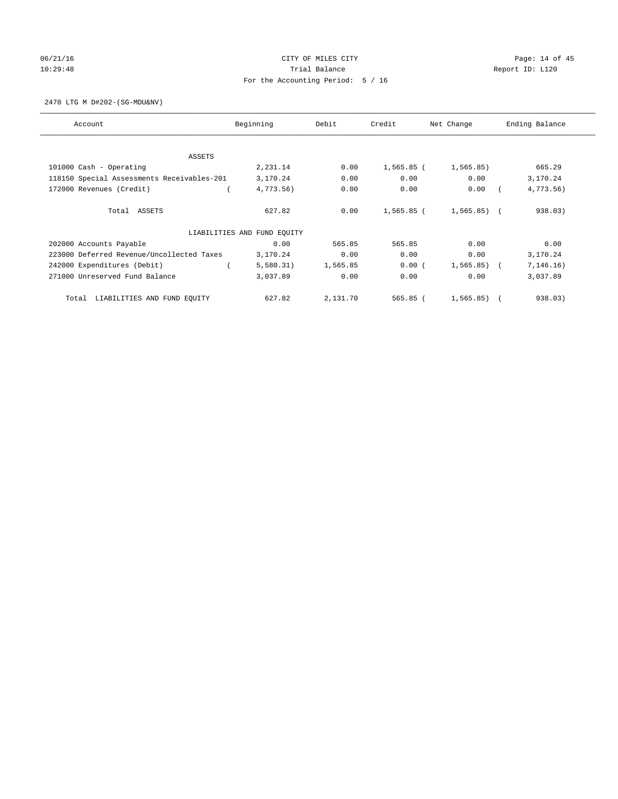# 06/21/16 Page: 14 of 45 10:29:48 **Trial Balance Trial Balance Report ID:** L120 For the Accounting Period: 5 / 16

2470 LTG M D#202-(SG-MDU&NV)

| Account                                    | Beginning                   | Debit    | Credit     | Net Change     | Ending Balance |  |  |
|--------------------------------------------|-----------------------------|----------|------------|----------------|----------------|--|--|
| ASSETS                                     |                             |          |            |                |                |  |  |
| 101000 Cash - Operating                    | 2,231.14                    | 0.00     | 1,565.85 ( | 1, 565.85)     | 665.29         |  |  |
| 118150 Special Assessments Receivables-201 | 3,170.24                    | 0.00     | 0.00       | 0.00           | 3,170.24       |  |  |
| 172000 Revenues (Credit)                   | 4,773.56)                   | 0.00     | 0.00       | 0.00           | 4,773.56)      |  |  |
| Total ASSETS                               | 627.82                      | 0.00     | 1,565.85 ( | $1,565.85$ ) ( | 938.03)        |  |  |
|                                            | LIABILITIES AND FUND EQUITY |          |            |                |                |  |  |
| 202000 Accounts Payable                    | 0.00                        | 565.85   | 565.85     | 0.00           | 0.00           |  |  |
| 223000 Deferred Revenue/Uncollected Taxes  | 3,170.24                    | 0.00     | 0.00       | 0.00           | 3,170.24       |  |  |
| 242000 Expenditures (Debit)                | 5,580.31)                   | 1,565.85 | 0.00(      | $1,565.85$ ) ( | 7, 146.16)     |  |  |
| 271000 Unreserved Fund Balance             | 3,037.89                    | 0.00     | 0.00       | 0.00           | 3,037.89       |  |  |
| LIABILITIES AND FUND EQUITY<br>Total       | 627.82                      | 2,131.70 | 565.85 (   | 1,565.85)      | 938.03)        |  |  |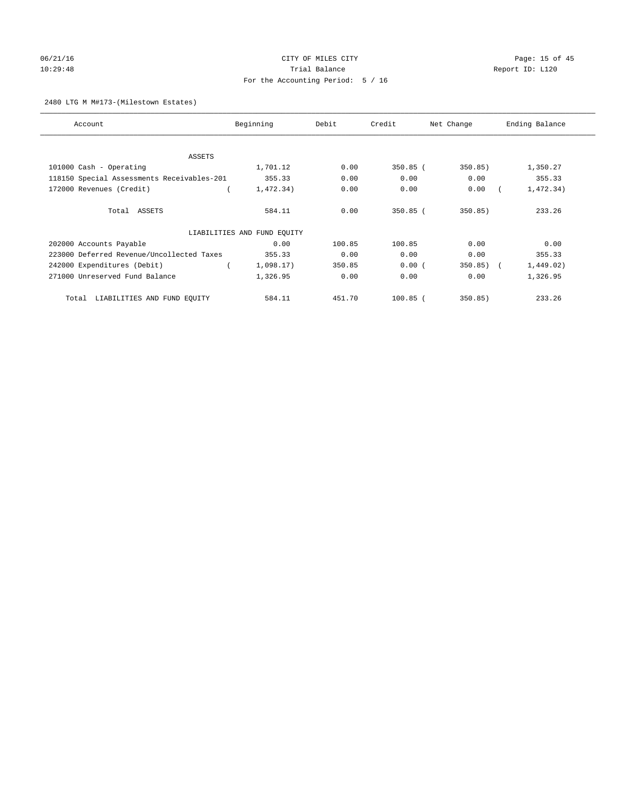# 06/21/16 Page: 15 of 45 10:29:48 **Trial Balance Trial Balance Report ID:** L120 For the Accounting Period: 5 / 16

## 2480 LTG M M#173-(Milestown Estates)

| Account                                    | Beginning                   | Debit  | Credit     | Net Change   | Ending Balance |  |
|--------------------------------------------|-----------------------------|--------|------------|--------------|----------------|--|
|                                            |                             |        |            |              |                |  |
| ASSETS                                     |                             |        |            |              |                |  |
| 101000 Cash - Operating                    | 1,701.12                    | 0.00   | $350.85$ ( | 350.85)      | 1,350.27       |  |
| 118150 Special Assessments Receivables-201 | 355.33                      | 0.00   | 0.00       | 0.00         | 355.33         |  |
| 172000 Revenues (Credit)                   | 1,472.34)                   | 0.00   | 0.00       | 0.00         | 1,472.34)      |  |
| Total ASSETS                               | 584.11                      | 0.00   | $350.85$ ( | 350.85)      | 233.26         |  |
|                                            | LIABILITIES AND FUND EQUITY |        |            |              |                |  |
| 202000 Accounts Payable                    | 0.00                        | 100.85 | 100.85     | 0.00         | 0.00           |  |
| 223000 Deferred Revenue/Uncollected Taxes  | 355.33                      | 0.00   | 0.00       | 0.00         | 355.33         |  |
| 242000 Expenditures (Debit)                | 1,098.17)                   | 350.85 | 0.00(      | $350.85$ ) ( | 1,449.02)      |  |
| 271000 Unreserved Fund Balance             | 1,326.95                    | 0.00   | 0.00       | 0.00         | 1,326.95       |  |
| LIABILITIES AND FUND EQUITY<br>Total       | 584.11                      | 451.70 | $100.85$ ( | 350.85)      | 233.26         |  |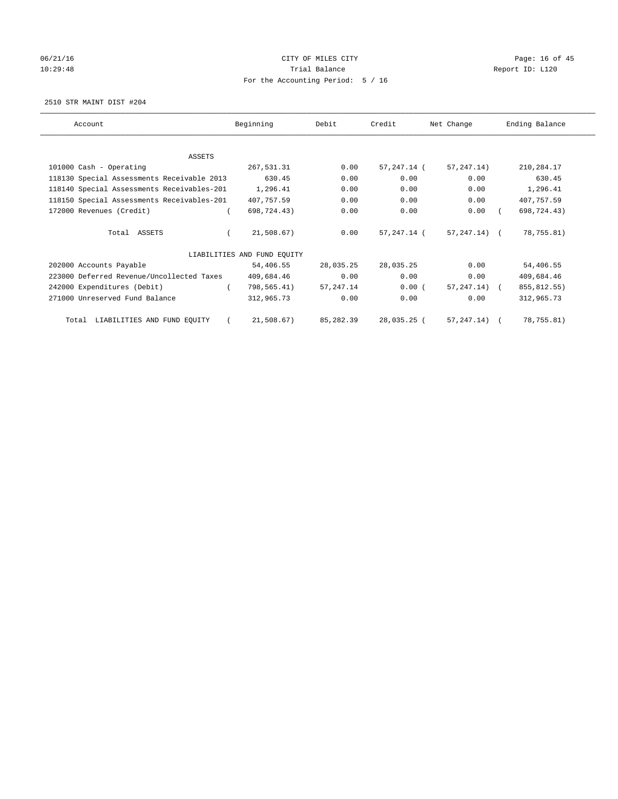# 06/21/16 Page: 16 of 45 10:29:48 **Trial Balance Trial Balance Report ID:** L120 For the Accounting Period: 5 / 16

2510 STR MAINT DIST #204

| Account                                    | Beginning                   | Debit      | Credit      | Net Change       | Ending Balance |
|--------------------------------------------|-----------------------------|------------|-------------|------------------|----------------|
|                                            |                             |            |             |                  |                |
| ASSETS                                     |                             |            |             |                  |                |
| 101000 Cash - Operating                    | 267,531.31                  | 0.00       | 57,247.14 ( | 57, 247. 14)     | 210,284.17     |
| 118130 Special Assessments Receivable 2013 | 630.45                      | 0.00       | 0.00        | 0.00             | 630.45         |
| 118140 Special Assessments Receivables-201 | 1,296.41                    | 0.00       | 0.00        | 0.00             | 1,296.41       |
| 118150 Special Assessments Receivables-201 | 407,757.59                  | 0.00       | 0.00        | 0.00             | 407,757.59     |
| 172000 Revenues (Credit)                   | 698,724.43)                 | 0.00       | 0.00        | 0.00             | 698,724.43)    |
| Total ASSETS                               | 21,508.67)                  | 0.00       | 57,247.14 ( | 57,247.14) (     | 78,755.81)     |
|                                            | LIABILITIES AND FUND EOUITY |            |             |                  |                |
| 202000 Accounts Payable                    | 54,406.55                   | 28,035.25  | 28,035.25   | 0.00             | 54,406.55      |
| 223000 Deferred Revenue/Uncollected Taxes  | 409,684.46                  | 0.00       | 0.00        | 0.00             | 409,684.46     |
| 242000 Expenditures (Debit)                | 798,565.41)                 | 57, 247.14 | $0.00$ (    | $57, 247, 14)$ ( | 855, 812.55)   |
| 271000 Unreserved Fund Balance             | 312,965.73                  | 0.00       | 0.00        | 0.00             | 312,965.73     |
| LIABILITIES AND FUND EQUITY<br>Total       | 21,508.67)                  | 85,282.39  | 28,035.25 ( | 57,247.14) (     | 78,755.81)     |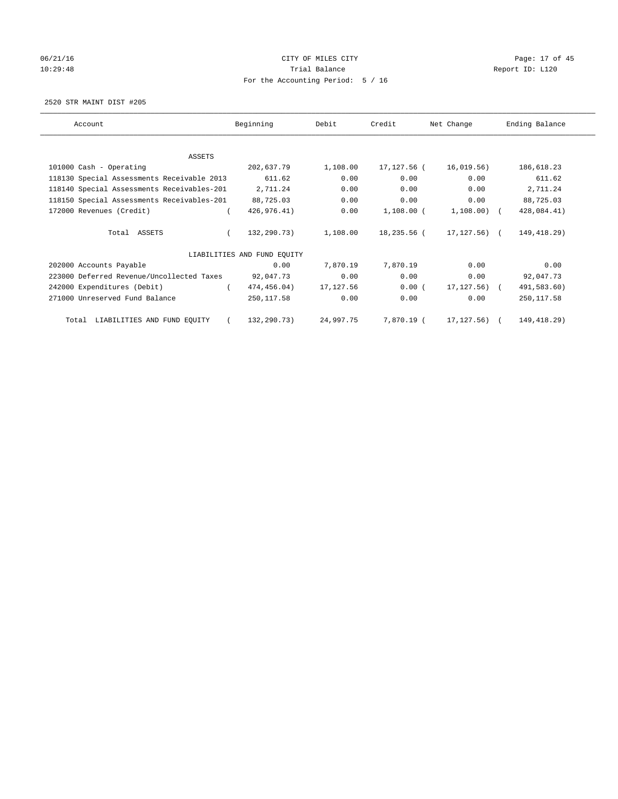# 06/21/16 Page: 17 of 45 10:29:48 **Trial Balance Trial Balance Report ID:** L120 For the Accounting Period: 5 / 16

2520 STR MAINT DIST #205

| Account                                    | Beginning                   | Debit     | Credit       | Net Change     | Ending Balance |
|--------------------------------------------|-----------------------------|-----------|--------------|----------------|----------------|
|                                            |                             |           |              |                |                |
| ASSETS<br>101000 Cash - Operating          | 202,637.79                  | 1,108.00  | 17,127.56 (  | 16,019.56)     | 186,618.23     |
| 118130 Special Assessments Receivable 2013 | 611.62                      | 0.00      | 0.00         | 0.00           | 611.62         |
| 118140 Special Assessments Receivables-201 | 2,711.24                    | 0.00      | 0.00         | 0.00           | 2,711.24       |
| 118150 Special Assessments Receivables-201 | 88,725.03                   | 0.00      | 0.00         | 0.00           | 88,725.03      |
| 172000 Revenues (Credit)                   | 426,976.41)                 | 0.00      | $1,108.00$ ( | $1,108.00)$ (  | 428,084.41)    |
| Total ASSETS                               | 132,290.73)                 | 1,108.00  | 18,235.56 (  | 17, 127, 56) ( | 149, 418.29)   |
|                                            | LIABILITIES AND FUND EQUITY |           |              |                |                |
| 202000 Accounts Payable                    | 0.00                        | 7,870.19  | 7,870.19     | 0.00           | 0.00           |
| 223000 Deferred Revenue/Uncollected Taxes  | 92,047.73                   | 0.00      | 0.00         | 0.00           | 92,047.73      |
| 242000 Expenditures (Debit)                | 474,456.04)                 | 17,127.56 | $0.00$ (     | 17, 127.56) (  | 491,583.60)    |
| 271000 Unreserved Fund Balance             | 250,117.58                  | 0.00      | 0.00         | 0.00           | 250, 117.58    |
| LIABILITIES AND FUND EQUITY<br>Total       | 132,290.73)                 | 24,997.75 | 7,870.19 (   | 17,127.56)     | 149, 418. 29)  |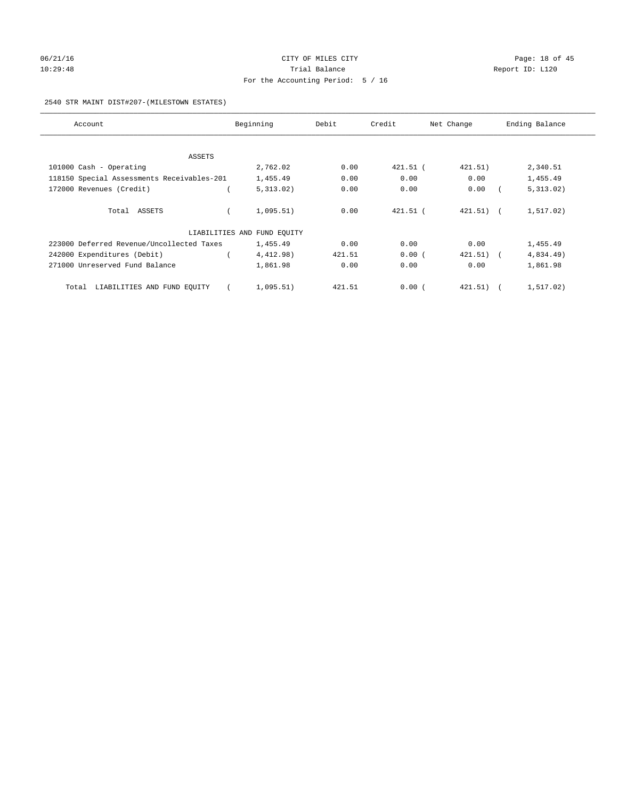# 06/21/16 Page: 18 of 45 10:29:48 **Trial Balance Trial Balance Report ID:** L120 For the Accounting Period: 5 / 16

## 2540 STR MAINT DIST#207-(MILESTOWN ESTATES)

| Account                                    | Beginning                   | Debit  | Credit     | Net Change            | Ending Balance |
|--------------------------------------------|-----------------------------|--------|------------|-----------------------|----------------|
|                                            |                             |        |            |                       |                |
| ASSETS                                     |                             |        |            |                       |                |
| 101000 Cash - Operating                    | 2,762.02                    | 0.00   | 421.51 (   | 421.51)               | 2,340.51       |
| 118150 Special Assessments Receivables-201 | 1,455.49                    | 0.00   | 0.00       | 0.00                  | 1,455.49       |
| 172000 Revenues (Credit)                   | 5,313.02)                   | 0.00   | 0.00       | 0.00                  | 5,313.02)      |
| Total ASSETS                               | 1,095.51)                   | 0.00   | $421.51$ ( | $421.51)$ (           | 1,517.02)      |
|                                            | LIABILITIES AND FUND EQUITY |        |            |                       |                |
| 223000 Deferred Revenue/Uncollected Taxes  | 1,455.49                    | 0.00   | 0.00       | 0.00                  | 1,455.49       |
| 242000 Expenditures (Debit)                | 4,412.98)                   | 421.51 | 0.00(      | 421.51)<br>$\sqrt{2}$ | 4,834.49)      |
| 271000 Unreserved Fund Balance             | 1,861.98                    | 0.00   | 0.00       | 0.00                  | 1,861.98       |
| LIABILITIES AND FUND EQUITY<br>Total       | 1,095.51)                   | 421.51 | 0.00(      | 421.51)<br>$\sqrt{2}$ | 1,517.02)      |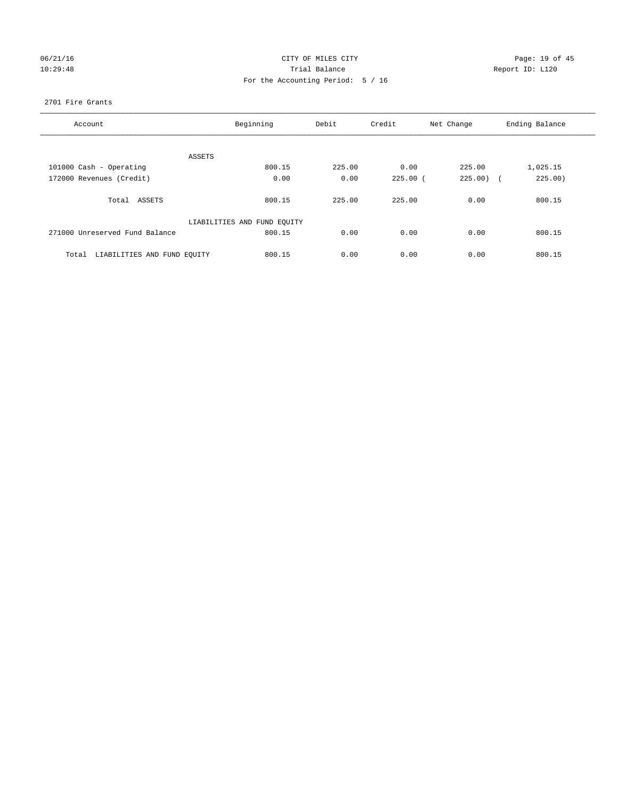# 06/21/16 Page: 19 of 45 10:29:48 **Trial Balance Trial Balance Report ID:** L120 For the Accounting Period: 5 / 16

## 2701 Fire Grants

| Account                              | Beginning                   | Debit  | Credit     | Net Change | Ending Balance |
|--------------------------------------|-----------------------------|--------|------------|------------|----------------|
|                                      |                             |        |            |            |                |
| ASSETS                               |                             |        |            |            |                |
| 101000 Cash - Operating              | 800.15                      | 225.00 | 0.00       | 225.00     | 1,025.15       |
| 172000 Revenues (Credit)             | 0.00                        | 0.00   | $225.00$ ( | $225.00$ ( | 225.00)        |
|                                      |                             |        |            |            |                |
| Total ASSETS                         | 800.15                      | 225.00 | 225.00     | 0.00       | 800.15         |
|                                      |                             |        |            |            |                |
|                                      | LIABILITIES AND FUND EQUITY |        |            |            |                |
| 271000 Unreserved Fund Balance       | 800.15                      | 0.00   | 0.00       | 0.00       | 800.15         |
|                                      |                             |        |            |            |                |
| LIABILITIES AND FUND EQUITY<br>Total | 800.15                      | 0.00   | 0.00       | 0.00       | 800.15         |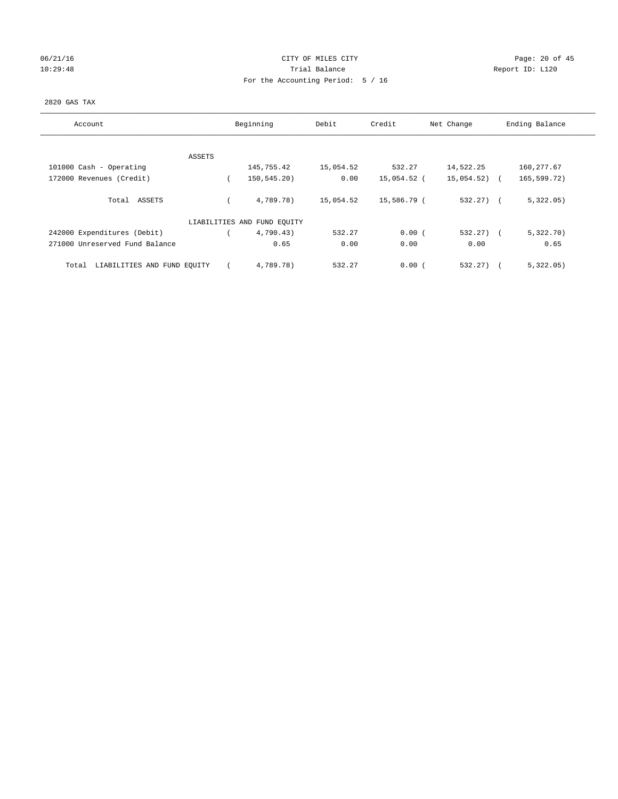# 06/21/16 Page: 20 of 45 10:29:48 **Trial Balance Trial Balance Report ID:** L120 For the Accounting Period: 5 / 16

## 2820 GAS TAX

| Account                              | Beginning                   | Debit     | Credit      | Net Change   | Ending Balance |
|--------------------------------------|-----------------------------|-----------|-------------|--------------|----------------|
| ASSETS                               |                             |           |             |              |                |
| 101000 Cash - Operating              | 145,755.42                  | 15,054.52 | 532.27      | 14,522.25    | 160, 277.67    |
| 172000 Revenues (Credit)             | 150,545.20)                 | 0.00      | 15,054.52 ( | 15,054.52)   | 165,599.72)    |
| Total ASSETS                         | 4,789.78)                   | 15,054.52 | 15,586.79 ( | $532.27$ (   | 5,322.05)      |
|                                      | LIABILITIES AND FUND EQUITY |           |             |              |                |
| 242000 Expenditures (Debit)          | 4,790.43)                   | 532.27    | 0.00(       | $532.27$ ) ( | 5,322.70)      |
| 271000 Unreserved Fund Balance       | 0.65                        | 0.00      | 0.00        | 0.00         | 0.65           |
| LIABILITIES AND FUND EQUITY<br>Total | 4,789.78)                   | 532.27    | 0.00(       | 532.27)      | 5,322.05)      |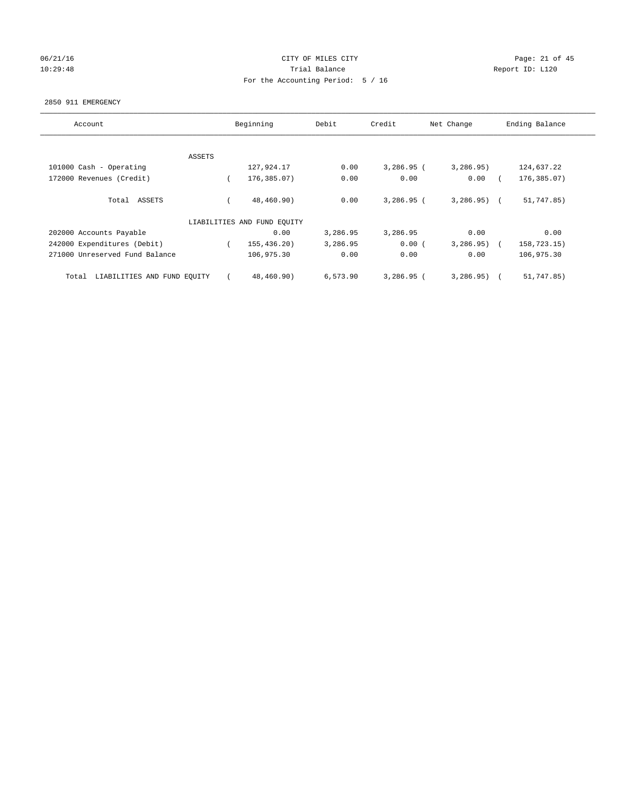# 06/21/16 Page: 21 of 45 10:29:48 **Trial Balance Trial Balance Report ID:** L120 For the Accounting Period: 5 / 16

#### 2850 911 EMERGENCY

| Account                              |        | Beginning                   | Debit    | Credit       | Net Change   | Ending Balance |
|--------------------------------------|--------|-----------------------------|----------|--------------|--------------|----------------|
|                                      |        |                             |          |              |              |                |
|                                      | ASSETS |                             |          |              |              |                |
| 101000 Cash - Operating              |        | 127,924.17                  | 0.00     | $3,286.95$ ( | 3,286.95)    | 124,637.22     |
| 172000 Revenues (Credit)             |        | 176,385.07)                 | 0.00     | 0.00         | 0.00         | 176,385.07)    |
| ASSETS<br>Total                      |        | 48,460.90)                  | 0.00     | $3,286.95$ ( | $3,286.95$ ( | 51,747.85)     |
|                                      |        | LIABILITIES AND FUND EQUITY |          |              |              |                |
| 202000 Accounts Payable              |        | 0.00                        | 3,286.95 | 3,286.95     | 0.00         | 0.00           |
| 242000 Expenditures (Debit)          |        | 155, 436, 20)               | 3,286.95 | 0.00(        | 3, 286.95)   | 158,723.15)    |
| 271000 Unreserved Fund Balance       |        | 106,975.30                  | 0.00     | 0.00         | 0.00         | 106,975.30     |
| LIABILITIES AND FUND EQUITY<br>Total |        | 48,460.90)                  | 6,573.90 | $3,286.95$ ( | 3,286.95)    | 51,747.85)     |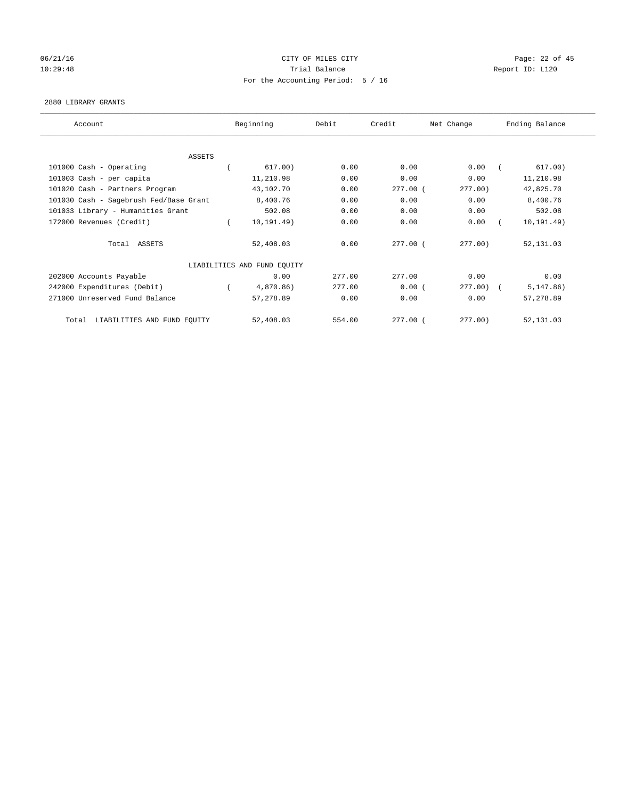# 06/21/16 Page: 22 of 45 10:29:48 **Trial Balance Trial Balance Report ID:** L120 For the Accounting Period: 5 / 16

## 2880 LIBRARY GRANTS

| Account                                | Beginning                   | Debit  | Credit     | Net Change | Ending Balance |
|----------------------------------------|-----------------------------|--------|------------|------------|----------------|
|                                        |                             |        |            |            |                |
| ASSETS                                 |                             |        |            |            |                |
| 101000 Cash - Operating                | 617.00)                     | 0.00   | 0.00       | 0.00       | 617.00)        |
| 101003 Cash - per capita               | 11,210.98                   | 0.00   | 0.00       | 0.00       | 11,210.98      |
| 101020 Cash - Partners Program         | 43,102.70                   | 0.00   | $277.00$ ( | 277.00)    | 42,825.70      |
| 101030 Cash - Sagebrush Fed/Base Grant | 8,400.76                    | 0.00   | 0.00       | 0.00       | 8,400.76       |
| 101033 Library - Humanities Grant      | 502.08                      | 0.00   | 0.00       | 0.00       | 502.08         |
| 172000 Revenues (Credit)               | 10, 191.49)                 | 0.00   | 0.00       | 0.00       | 10, 191.49)    |
| Total ASSETS                           | 52,408.03                   | 0.00   | $277.00$ ( | $277.00$ ) | 52, 131.03     |
|                                        | LIABILITIES AND FUND EQUITY |        |            |            |                |
| 202000 Accounts Payable                | 0.00                        | 277.00 | 277.00     | 0.00       | 0.00           |
| 242000 Expenditures (Debit)            | 4,870.86)                   | 277.00 | 0.00(      | 277.00     | 5, 147.86)     |
| 271000 Unreserved Fund Balance         | 57,278.89                   | 0.00   | 0.00       | 0.00       | 57,278.89      |
| LIABILITIES AND FUND EQUITY<br>Total   | 52,408.03                   | 554.00 | 277.00 (   | 277.00)    | 52,131.03      |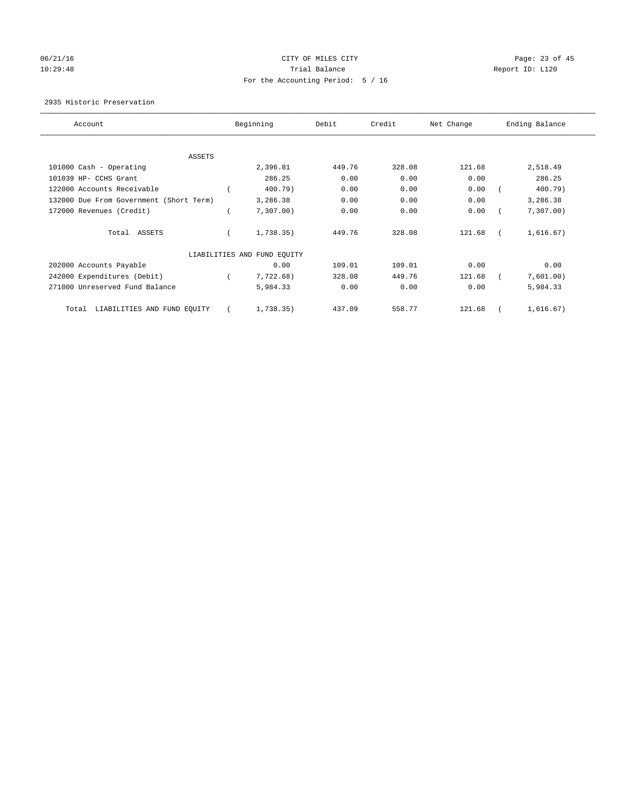# 06/21/16 Page: 23 of 45 10:29:48 **Trial Balance Trial Balance Report ID:** L120 For the Accounting Period: 5 / 16

## 2935 Historic Preservation

| Account                                 | Beginning                   | Debit  | Credit | Net Change | Ending Balance |
|-----------------------------------------|-----------------------------|--------|--------|------------|----------------|
|                                         |                             |        |        |            |                |
| ASSETS                                  |                             |        |        |            |                |
| 101000 Cash - Operating                 | 2,396.81                    | 449.76 | 328.08 | 121.68     | 2,518.49       |
| 101039 HP- CCHS Grant                   | 286.25                      | 0.00   | 0.00   | 0.00       | 286.25         |
| 122000 Accounts Receivable              | 400.79)                     | 0.00   | 0.00   | 0.00       | 400.79)        |
| 132000 Due From Government (Short Term) | 3,286.38                    | 0.00   | 0.00   | 0.00       | 3,286.38       |
| 172000 Revenues (Credit)                | 7,307.00)                   | 0.00   | 0.00   | 0.00       | 7,307.00       |
| Total ASSETS                            | 1,738.35)                   | 449.76 | 328.08 | 121.68     | 1,616.67)      |
|                                         | LIABILITIES AND FUND EQUITY |        |        |            |                |
| 202000 Accounts Payable                 | 0.00                        | 109.01 | 109.01 | 0.00       | 0.00           |
| 242000 Expenditures (Debit)             | 7,722.68)                   | 328.08 | 449.76 | 121.68     | 7,601.00)      |
| 271000 Unreserved Fund Balance          | 5,984.33                    | 0.00   | 0.00   | 0.00       | 5,984.33       |
| LIABILITIES AND FUND EQUITY<br>Total    | 1,738.35)                   | 437.09 | 558.77 | 121.68     | 1,616.67)      |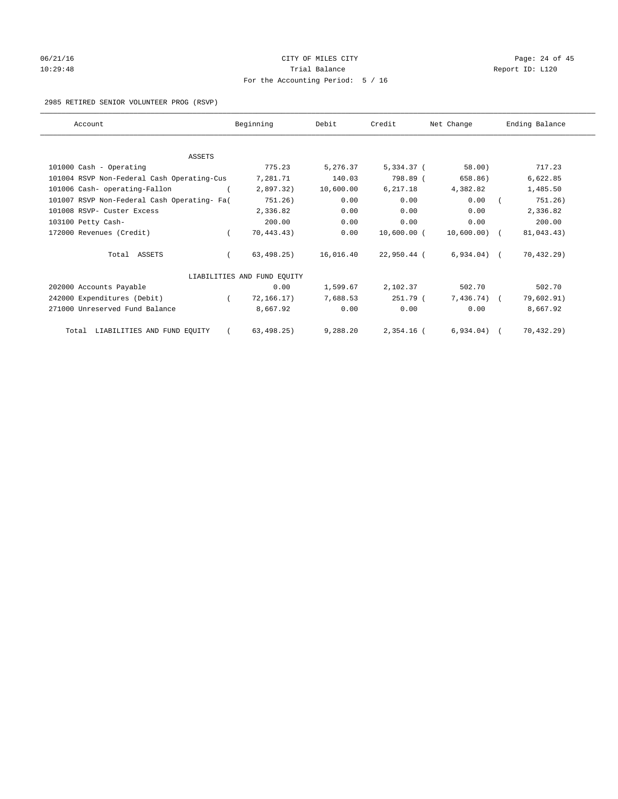# 06/21/16 Page: 24 of 45 10:29:48 Report ID: L120 For the Accounting Period: 5 / 16

#### 2985 RETIRED SENIOR VOLUNTEER PROG (RSVP)

| Account                                     |          | Beginning                   | Debit     | Credit       | Net Change    | Ending Balance |
|---------------------------------------------|----------|-----------------------------|-----------|--------------|---------------|----------------|
|                                             |          |                             |           |              |               |                |
| ASSETS                                      |          |                             |           |              |               |                |
| 101000 Cash - Operating                     |          | 775.23                      | 5,276.37  | 5,334.37 (   | 58.00)        | 717.23         |
| 101004 RSVP Non-Federal Cash Operating-Cus  |          | 7,281.71                    | 140.03    | 798.89 (     | 658.86)       | 6,622.85       |
| 101006 Cash- operating-Fallon               |          | 2,897.32)                   | 10,600.00 | 6,217.18     | 4,382.82      | 1,485.50       |
| 101007 RSVP Non-Federal Cash Operating- Fa( |          | 751.26)                     | 0.00      | 0.00         | 0.00          | 751.26)        |
| 101008 RSVP- Custer Excess                  |          | 2,336.82                    | 0.00      | 0.00         | 0.00          | 2,336.82       |
| 103100 Petty Cash-                          |          | 200.00                      | 0.00      | 0.00         | 0.00          | 200.00         |
| 172000 Revenues (Credit)                    | $\left($ | 70,443.43)                  | 0.00      | 10,600.00 (  | 10,600.00) (  | 81,043.43)     |
| Total ASSETS                                |          | 63, 498.25)                 | 16,016.40 | 22,950.44 (  | $6,934.04)$ ( | 70, 432.29)    |
|                                             |          | LIABILITIES AND FUND EQUITY |           |              |               |                |
| 202000 Accounts Payable                     |          | 0.00                        | 1,599.67  | 2,102.37     | 502.70        | 502.70         |
| 242000 Expenditures (Debit)                 |          | 72,166.17)                  | 7.688.53  | 251.79 (     | $7,436.74$ (  | 79,602.91)     |
| 271000 Unreserved Fund Balance              |          | 8,667.92                    | 0.00      | 0.00         | 0.00          | 8,667.92       |
| Total LIABILITIES AND FUND EQUITY           |          | 63, 498.25)                 | 9,288.20  | $2,354.16$ ( | 6,934.04)     | 70, 432.29)    |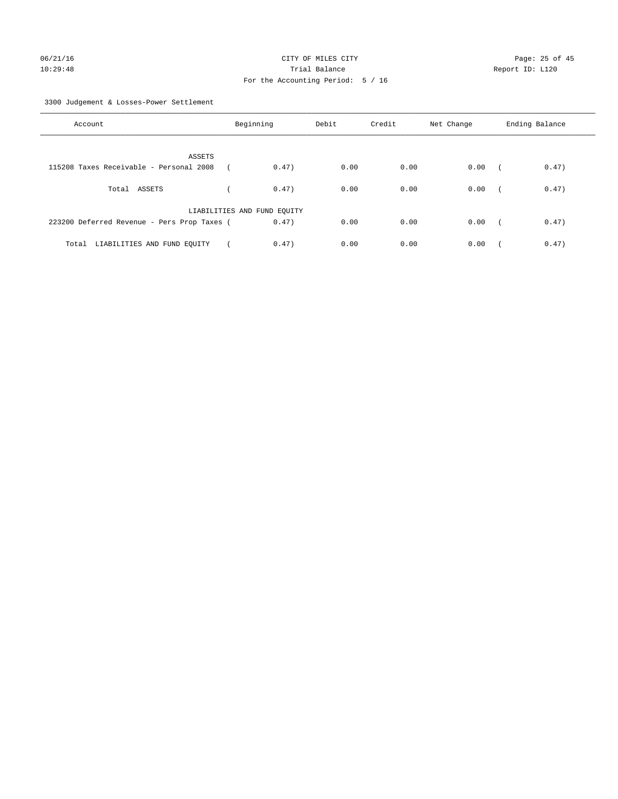3300 Judgement & Losses-Power Settlement

| Account                                     | Beginning                   | Debit | Credit | Net Change | Ending Balance                    |
|---------------------------------------------|-----------------------------|-------|--------|------------|-----------------------------------|
| ASSETS                                      |                             |       |        |            |                                   |
| 115208 Taxes Receivable - Personal 2008     | 0.47)                       | 0.00  | 0.00   | 0.00       | 0.47)<br>$\sqrt{2}$               |
| Total ASSETS                                | 0.47)                       | 0.00  | 0.00   | 0.00       | 0.47)<br>$\sqrt{ }$               |
|                                             | LIABILITIES AND FUND EQUITY |       |        |            |                                   |
| 223200 Deferred Revenue - Pers Prop Taxes ( | 0.47)                       | 0.00  | 0.00   | 0.00       | 0.47)<br>$\overline{\phantom{a}}$ |
| Total LIABILITIES AND FUND EQUITY           | 0.47)                       | 0.00  | 0.00   | 0.00       | 0.47)                             |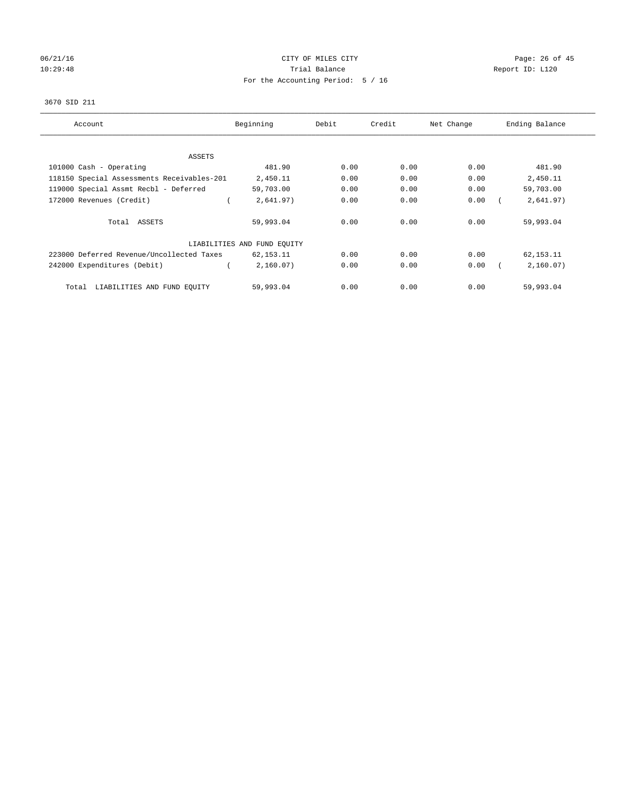# 06/21/16 Page: 26 of 45 10:29:48 **Trial Balance Trial Balance Report ID:** L120 For the Accounting Period: 5 / 16

## 3670 SID 211

| Account                                    | Beginning                   | Debit | Credit | Net Change | Ending Balance |
|--------------------------------------------|-----------------------------|-------|--------|------------|----------------|
|                                            |                             |       |        |            |                |
| ASSETS                                     |                             |       |        |            |                |
| 101000 Cash - Operating                    | 481.90                      | 0.00  | 0.00   | 0.00       | 481.90         |
| 118150 Special Assessments Receivables-201 | 2,450.11                    | 0.00  | 0.00   | 0.00       | 2,450.11       |
| 119000 Special Assmt Recbl - Deferred      | 59,703.00                   | 0.00  | 0.00   | 0.00       | 59,703.00      |
| 172000 Revenues (Credit)                   | 2,641.97)                   | 0.00  | 0.00   | 0.00       | 2,641.97)      |
| Total ASSETS                               | 59,993.04                   | 0.00  | 0.00   | 0.00       | 59,993.04      |
|                                            | LIABILITIES AND FUND EQUITY |       |        |            |                |
| 223000 Deferred Revenue/Uncollected Taxes  | 62,153.11                   | 0.00  | 0.00   | 0.00       | 62,153.11      |
| 242000 Expenditures (Debit)                | 2,160.07)                   | 0.00  | 0.00   | 0.00       | 2,160.07)      |
| LIABILITIES AND FUND EQUITY<br>Total       | 59,993.04                   | 0.00  | 0.00   | 0.00       | 59,993.04      |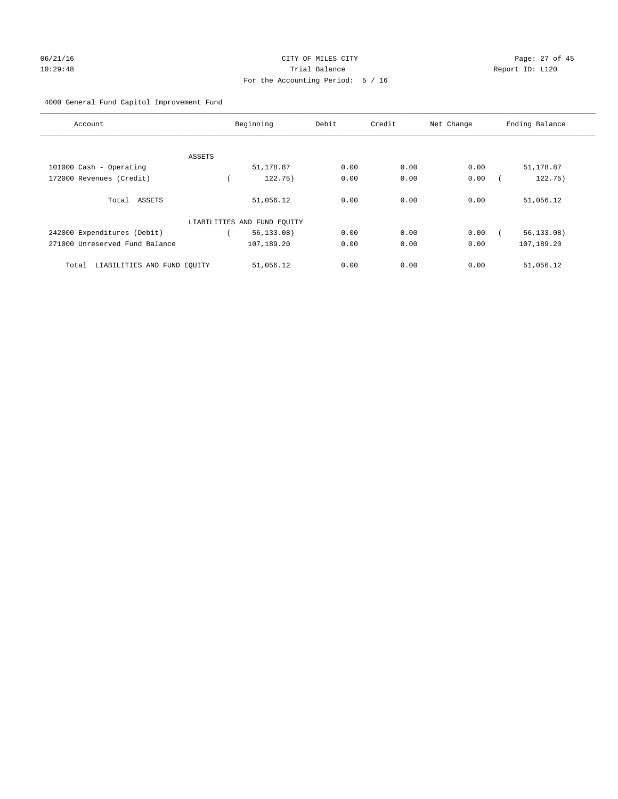# 06/21/16 Page: 27 of 45 10:29:48 Trial Balance Report ID: L120 For the Accounting Period: 5 / 16

## 4000 General Fund Capitol Improvement Fund

| Account                              |        | Beginning                   | Debit | Credit | Net Change | Ending Balance |
|--------------------------------------|--------|-----------------------------|-------|--------|------------|----------------|
|                                      | ASSETS |                             |       |        |            |                |
| 101000 Cash - Operating              |        | 51,178.87                   | 0.00  | 0.00   | 0.00       | 51,178.87      |
| 172000 Revenues (Credit)             |        | 122.75)                     | 0.00  | 0.00   | 0.00       | 122.75)        |
| Total ASSETS                         |        | 51,056.12                   | 0.00  | 0.00   | 0.00       | 51,056.12      |
|                                      |        | LIABILITIES AND FUND EQUITY |       |        |            |                |
| 242000 Expenditures (Debit)          |        | 56, 133.08)                 | 0.00  | 0.00   | 0.00       | 56, 133.08     |
| 271000 Unreserved Fund Balance       |        | 107,189.20                  | 0.00  | 0.00   | 0.00       | 107,189.20     |
| LIABILITIES AND FUND EQUITY<br>Total |        | 51,056.12                   | 0.00  | 0.00   | 0.00       | 51,056.12      |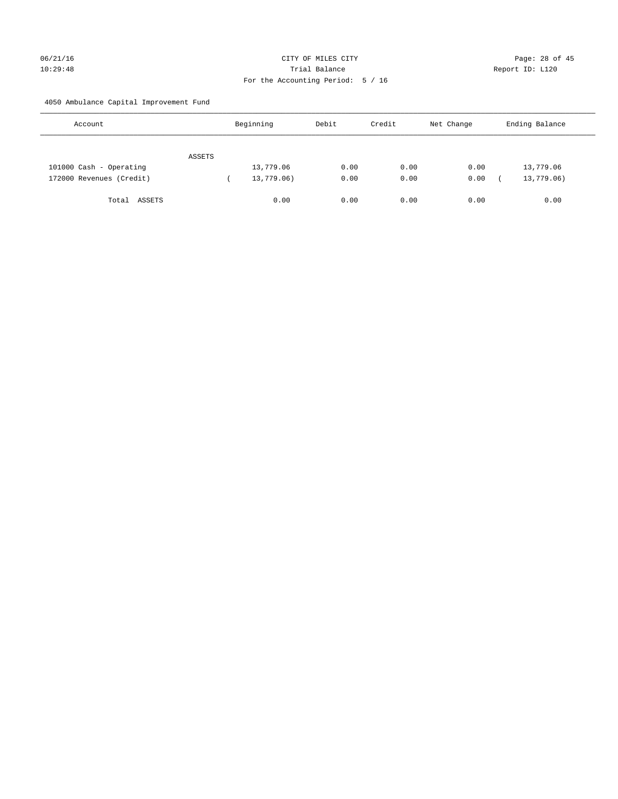# 06/21/16 Page: 28 of 45 10:29:48 Trial Balance Report ID: L120 For the Accounting Period: 5 / 16

4050 Ambulance Capital Improvement Fund

| Account                  |        | Beginning  | Debit | Credit | Net Change | Ending Balance |
|--------------------------|--------|------------|-------|--------|------------|----------------|
|                          | ASSETS |            |       |        |            |                |
| 101000 Cash - Operating  |        | 13,779.06  | 0.00  | 0.00   | 0.00       | 13,779.06      |
| 172000 Revenues (Credit) |        | 13,779.06) | 0.00  | 0.00   | 0.00       | 13,779.06)     |
| Total ASSETS             |        | 0.00       | 0.00  | 0.00   | 0.00       | 0.00           |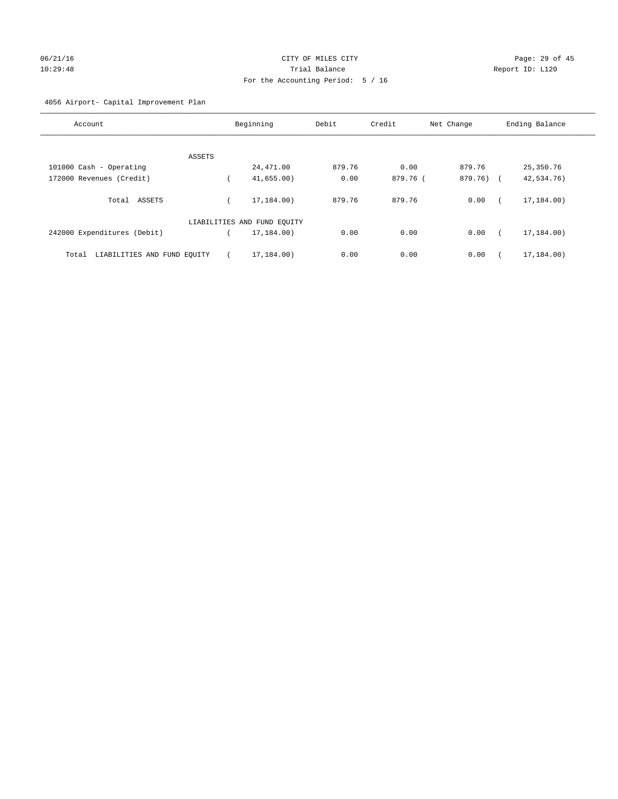# 06/21/16 Page: 29 of 45 10:29:48 Trial Balance Report ID: L120 For the Accounting Period: 5 / 16

## 4056 Airport- Capital Improvement Plan

| Account                              | Beginning                   | Debit  | Credit   | Net Change | Ending Balance |
|--------------------------------------|-----------------------------|--------|----------|------------|----------------|
|                                      |                             |        |          |            |                |
| ASSETS<br>101000 Cash - Operating    | 24,471.00                   | 879.76 | 0.00     | 879.76     | 25,350.76      |
| 172000 Revenues (Credit)             | 41,655.00                   | 0.00   | 879.76 ( | 879.76)    | 42,534.76)     |
|                                      |                             |        |          |            |                |
| ASSETS<br>Total                      | 17,184,00)                  | 879.76 | 879.76   | 0.00       | 17,184.00)     |
|                                      | LIABILITIES AND FUND EQUITY |        |          |            |                |
| 242000 Expenditures (Debit)          | 17,184.00)                  | 0.00   | 0.00     | 0.00       | 17,184.00)     |
| LIABILITIES AND FUND EQUITY<br>Total | 17,184.00)                  | 0.00   | 0.00     | 0.00       | 17,184.00)     |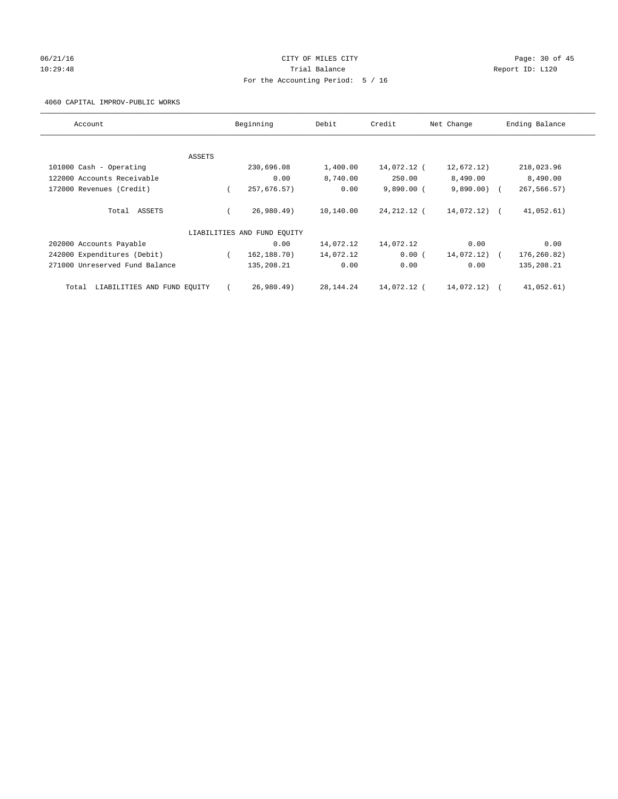## 06/21/16 Page: 30 of 45 10:29:48 Report ID: L120 For the Accounting Period: 5 / 16

4060 CAPITAL IMPROV-PUBLIC WORKS

| Account                              |        | Beginning                   | Debit       | Credit       | Net Change   | Ending Balance |
|--------------------------------------|--------|-----------------------------|-------------|--------------|--------------|----------------|
|                                      | ASSETS |                             |             |              |              |                |
| 101000 Cash - Operating              |        | 230,696.08                  | 1,400.00    | 14,072.12 (  | 12,672.12)   | 218,023.96     |
| 122000 Accounts Receivable           |        | 0.00                        | 8,740.00    | 250.00       | 8,490.00     | 8,490.00       |
| 172000 Revenues (Credit)             |        | 257,676.57)                 | 0.00        | $9,890.00$ ( | 9,890.00)    | 267,566.57)    |
| Total ASSETS                         |        | 26,980.49)                  | 10,140.00   | 24,212.12 (  | 14,072.12) ( | 41,052.61)     |
|                                      |        | LIABILITIES AND FUND EQUITY |             |              |              |                |
| 202000 Accounts Payable              |        | 0.00                        | 14,072.12   | 14,072.12    | 0.00         | 0.00           |
| 242000 Expenditures (Debit)          |        | 162,188.70)                 | 14,072.12   | 0.00(        | 14,072.12)   | 176,260.82)    |
| 271000 Unreserved Fund Balance       |        | 135,208.21                  | 0.00        | 0.00         | 0.00         | 135,208.21     |
| LIABILITIES AND FUND EQUITY<br>Total |        | 26,980.49)                  | 28, 144. 24 | 14,072.12 (  | 14,072.12) ( | 41,052.61)     |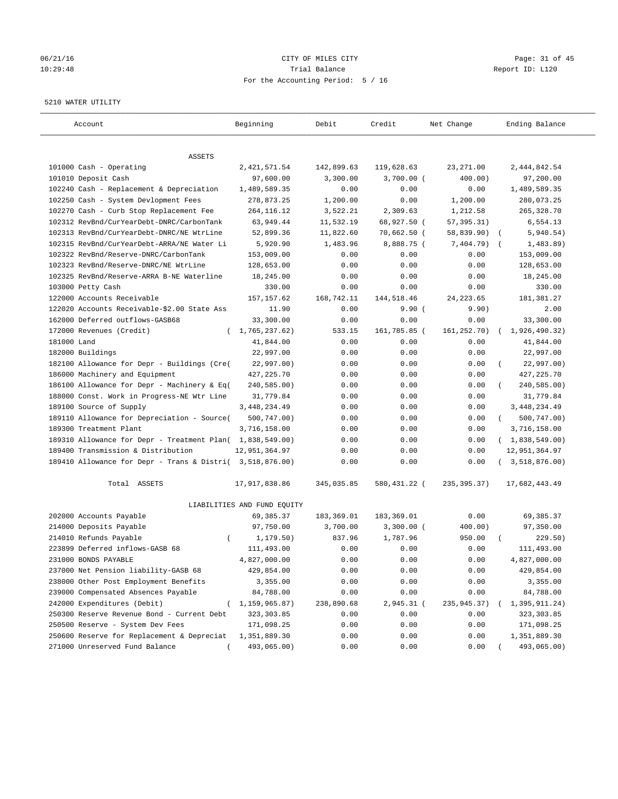# 06/21/16 Page: 31 of 45 10:29:48 Trial Balance Report ID: L120 For the Accounting Period: 5 / 16

#### 5210 WATER UTILITY

| Account                                                   | Beginning                   | Debit      | Credit       | Net Change   | Ending Balance          |
|-----------------------------------------------------------|-----------------------------|------------|--------------|--------------|-------------------------|
| ASSETS                                                    |                             |            |              |              |                         |
| 101000 Cash - Operating                                   | 2,421,571.54                | 142,899.63 | 119,628.63   | 23, 271.00   | 2,444,842.54            |
| 101010 Deposit Cash                                       | 97,600.00                   | 3,300.00   | $3,700.00$ ( | 400.00)      | 97,200.00               |
| 102240 Cash - Replacement & Depreciation                  | 1,489,589.35                | 0.00       | 0.00         | 0.00         | 1,489,589.35            |
| 102250 Cash - System Devlopment Fees                      | 278,873.25                  | 1,200.00   | 0.00         | 1,200.00     | 280,073.25              |
| 102270 Cash - Curb Stop Replacement Fee                   | 264, 116.12                 | 3,522.21   | 2,309.63     | 1,212.58     | 265, 328.70             |
| 102312 RevBnd/CurYearDebt-DNRC/CarbonTank                 | 63,949.44                   | 11,532.19  | 68,927.50 (  | 57,395.31)   | 6,554.13                |
| 102313 RevBnd/CurYearDebt-DNRC/NE WtrLine                 | 52,899.36                   | 11,822.60  | 70,662.50 (  | 58,839.90)   | 5,940.54)<br>$\sqrt{2}$ |
| 102315 RevBnd/CurYearDebt-ARRA/NE Water Li                | 5,920.90                    | 1,483.96   | 8,888.75 (   | 7,404.79)    | 1,483.89)<br>$\sqrt{2}$ |
| 102322 RevBnd/Reserve-DNRC/CarbonTank                     | 153,009.00                  | 0.00       | 0.00         | 0.00         | 153,009.00              |
| 102323 RevBnd/Reserve-DNRC/NE WtrLine                     | 128,653.00                  | 0.00       | 0.00         | 0.00         | 128,653.00              |
| 102325 RevBnd/Reserve-ARRA B-NE Waterline                 | 18,245.00                   | 0.00       | 0.00         | 0.00         | 18,245.00               |
| 103000 Petty Cash                                         | 330.00                      | 0.00       | 0.00         | 0.00         | 330.00                  |
| 122000 Accounts Receivable                                | 157, 157.62                 | 168,742.11 | 144,518.46   | 24, 223.65   | 181,381.27              |
| 122020 Accounts Receivable-\$2.00 State Ass               | 11.90                       | 0.00       | 9.90(        | 9.90)        | 2.00                    |
| 162000 Deferred outflows-GASB68                           | 33,300.00                   | 0.00       | 0.00         | 0.00         | 33,300.00               |
| 172000 Revenues (Credit)                                  | (1, 765, 237.62)            | 533.15     | 161,785.85 ( | 161,252.70)  | 1,926,490.32)           |
| 181000 Land                                               | 41,844.00                   | 0.00       | 0.00         | 0.00         | 41,844.00               |
| 182000 Buildings                                          | 22,997.00                   | 0.00       | 0.00         | 0.00         | 22,997.00               |
| 182100 Allowance for Depr - Buildings (Cre(               | 22,997.00)                  | 0.00       | 0.00         | 0.00         | 22,997.00)              |
| 186000 Machinery and Equipment                            | 427, 225. 70                | 0.00       | 0.00         | 0.00         | 427, 225.70             |
| 186100 Allowance for Depr - Machinery & Eq(               | 240,585.00)                 | 0.00       | 0.00         | 0.00         | 240,585.00)             |
| 188000 Const. Work in Progress-NE Wtr Line                | 31,779.84                   | 0.00       | 0.00         | 0.00         | 31,779.84               |
| 189100 Source of Supply                                   | 3, 448, 234.49              | 0.00       | 0.00         | 0.00         | 3, 448, 234.49          |
| 189110 Allowance for Depreciation - Source(               | 500,747.00)                 | 0.00       | 0.00         | 0.00         | 500,747.00)<br>$\left($ |
| 189300 Treatment Plant                                    | 3,716,158.00                | 0.00       | 0.00         | 0.00         | 3,716,158.00            |
| 189310 Allowance for Depr - Treatment Plan( 1,838,549.00) |                             | 0.00       | 0.00         | 0.00         | (1,838,549.00)          |
| 189400 Transmission & Distribution                        | 12,951,364.97               | 0.00       | 0.00         | 0.00         | 12,951,364.97           |
| 189410 Allowance for Depr - Trans & Distri( 3,518,876.00) |                             | 0.00       | 0.00         | 0.00         | 3,518,876.00)           |
| Total ASSETS                                              | 17,917,838.86               | 345,035.85 | 580,431.22 ( | 235, 395.37) | 17,682,443.49           |
|                                                           | LIABILITIES AND FUND EQUITY |            |              |              |                         |
| 202000 Accounts Payable                                   | 69, 385. 37                 | 183,369.01 | 183,369.01   | 0.00         | 69,385.37               |
| 214000 Deposits Payable                                   | 97,750.00                   | 3,700.00   | 3,300.00 (   | 400.00)      | 97,350.00               |
| 214010 Refunds Payable<br>$\left($                        | 1,179.50)                   | 837.96     | 1,787.96     | 950.00       | 229.50)                 |
| 223899 Deferred inflows-GASB 68                           | 111,493.00                  | 0.00       | 0.00         | 0.00         | 111,493.00              |
| 231000 BONDS PAYABLE                                      | 4,827,000.00                | 0.00       | 0.00         | 0.00         | 4,827,000.00            |
| 237000 Net Pension liability-GASB 68                      | 429,854.00                  | 0.00       | 0.00         | 0.00         | 429,854.00              |
| 238000 Other Post Employment Benefits                     | 3,355.00                    | 0.00       | 0.00         | 0.00         | 3,355.00                |
| 239000 Compensated Absences Payable                       | 84,788.00                   | 0.00       | 0.00         | 0.00         | 84,788.00               |
| 242000 Expenditures (Debit)                               | 1,159,965.87)               | 238,890.68 | 2,945.31 (   | 235,945.37)  | 1,395,911.24)           |
| 250300 Reserve Revenue Bond - Current Debt                | 323, 303.85                 | 0.00       | 0.00         | 0.00         | 323, 303.85             |
| 250500 Reserve - System Dev Fees                          | 171,098.25                  | 0.00       | 0.00         | 0.00         | 171,098.25              |
| 250600 Reserve for Replacement & Depreciat                | 1,351,889.30                | 0.00       | 0.00         | 0.00         | 1,351,889.30            |
| 271000 Unreserved Fund Balance                            | 493,065.00)                 | 0.00       | 0.00         | 0.00         | 493,065.00)             |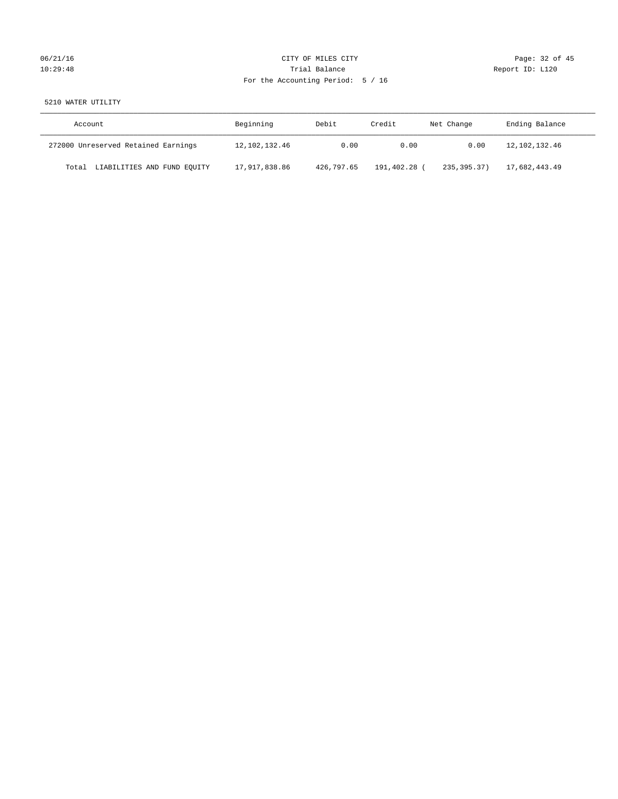# 06/21/16 Page: 32 of 45 10:29:48 **Trial Balance Trial Balance Report ID:** L120 For the Accounting Period: 5 / 16

# 5210 WATER UTILITY

| Account                              | Beginning        | Debit      | Credit     | Net Change    | Ending Balance |
|--------------------------------------|------------------|------------|------------|---------------|----------------|
| 272000 Unreserved Retained Earnings  | 12, 102, 132, 46 | 0.00       | 0.00       | 0.00          | 12,102,132.46  |
| LIABILITIES AND FUND EQUITY<br>Total | 17,917,838.86    | 426,797.65 | 191,402.28 | 235, 395, 37) | 17,682,443.49  |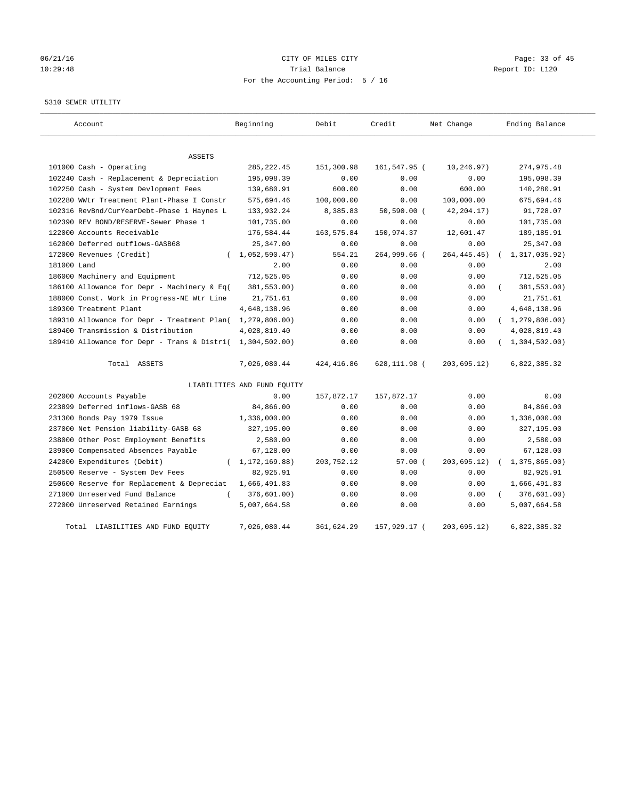# 06/21/16 Page: 33 of 45 10:29:48 Trial Balance Report ID: L120 For the Accounting Period: 5 / 16

#### 5310 SEWER UTILITY

| Account                                                   | Beginning                   | Debit       | Credit        | Net Change    | Ending Balance   |
|-----------------------------------------------------------|-----------------------------|-------------|---------------|---------------|------------------|
| ASSETS                                                    |                             |             |               |               |                  |
| 101000 Cash - Operating                                   | 285, 222.45                 | 151,300.98  | 161,547.95 (  | 10,246.97)    | 274,975.48       |
| 102240 Cash - Replacement & Depreciation                  | 195,098.39                  | 0.00        | 0.00          | 0.00          | 195,098.39       |
| 102250 Cash - System Devlopment Fees                      | 139,680.91                  | 600.00      | 0.00          | 600.00        | 140,280.91       |
| 102280 WWtr Treatment Plant-Phase I Constr                | 575,694.46                  | 100,000.00  | 0.00          | 100,000.00    | 675,694.46       |
| 102316 RevBnd/CurYearDebt-Phase 1 Haynes L                | 133,932.24                  | 8,385.83    | $50,590.00$ ( | 42, 204. 17)  | 91,728.07        |
| 102390 REV BOND/RESERVE-Sewer Phase 1                     | 101,735.00                  | 0.00        | 0.00          | 0.00          | 101,735.00       |
| 122000 Accounts Receivable                                | 176,584.44                  | 163, 575.84 | 150,974.37    | 12,601.47     | 189, 185.91      |
| 162000 Deferred outflows-GASB68                           | 25, 347.00                  | 0.00        | 0.00          | 0.00          | 25, 347.00       |
| 172000 Revenues (Credit)                                  | 1,052,590.47)               | 554.21      | 264,999.66 (  | 264, 445. 45) | 1,317,035.92)    |
| 181000 Land                                               | 2.00                        | 0.00        | 0.00          | 0.00          | 2.00             |
| 186000 Machinery and Equipment                            | 712,525.05                  | 0.00        | 0.00          | 0.00          | 712,525.05       |
| 186100 Allowance for Depr - Machinery & Eq(               | 381,553.00)                 | 0.00        | 0.00          | 0.00          | 381,553.00)      |
| 188000 Const. Work in Progress-NE Wtr Line                | 21,751.61                   | 0.00        | 0.00          | 0.00          | 21,751.61        |
| 189300 Treatment Plant                                    | 4,648,138.96                | 0.00        | 0.00          | 0.00          | 4,648,138.96     |
| 189310 Allowance for Depr - Treatment Plan(               | 1,279,806.00)               | 0.00        | 0.00          | 0.00          | (1, 279, 806.00) |
| 189400 Transmission & Distribution                        | 4,028,819.40                | 0.00        | 0.00          | 0.00          | 4,028,819.40     |
| 189410 Allowance for Depr - Trans & Distri( 1,304,502.00) |                             | 0.00        | 0.00          | 0.00          | (1, 304, 502.00) |
| Total ASSETS                                              | 7,026,080.44                | 424, 416.86 | 628,111.98 (  | 203,695.12)   | 6,822,385.32     |
|                                                           | LIABILITIES AND FUND EQUITY |             |               |               |                  |
| 202000 Accounts Payable                                   | 0.00                        | 157,872.17  | 157,872.17    | 0.00          | 0.00             |
| 223899 Deferred inflows-GASB 68                           | 84,866.00                   | 0.00        | 0.00          | 0.00          | 84,866.00        |
| 231300 Bonds Pay 1979 Issue                               | 1,336,000.00                | 0.00        | 0.00          | 0.00          | 1,336,000.00     |
| 237000 Net Pension liability-GASB 68                      | 327,195.00                  | 0.00        | 0.00          | 0.00          | 327,195.00       |
| 238000 Other Post Employment Benefits                     | 2,580.00                    | 0.00        | 0.00          | 0.00          | 2,580.00         |
| 239000 Compensated Absences Payable                       | 67,128.00                   | 0.00        | 0.00          | 0.00          | 67,128.00        |
| 242000 Expenditures (Debit)                               | (1, 172, 169.88)            | 203,752.12  | 57.00(        | 203, 695.12)  | 1,375,865.00)    |
| 250500 Reserve - System Dev Fees                          | 82,925.91                   | 0.00        | 0.00          | 0.00          | 82,925.91        |
| 250600 Reserve for Replacement & Depreciat                | 1,666,491.83                | 0.00        | 0.00          | 0.00          | 1,666,491.83     |
| 271000 Unreserved Fund Balance<br>$\left($                | 376,601.00)                 | 0.00        | 0.00          | 0.00          | 376,601.00)      |
| 272000 Unreserved Retained Earnings                       | 5,007,664.58                | 0.00        | 0.00          | 0.00          | 5,007,664.58     |
| Total LIABILITIES AND FUND EQUITY                         | 7,026,080.44                | 361,624.29  | 157,929.17 (  | 203,695.12)   | 6,822,385.32     |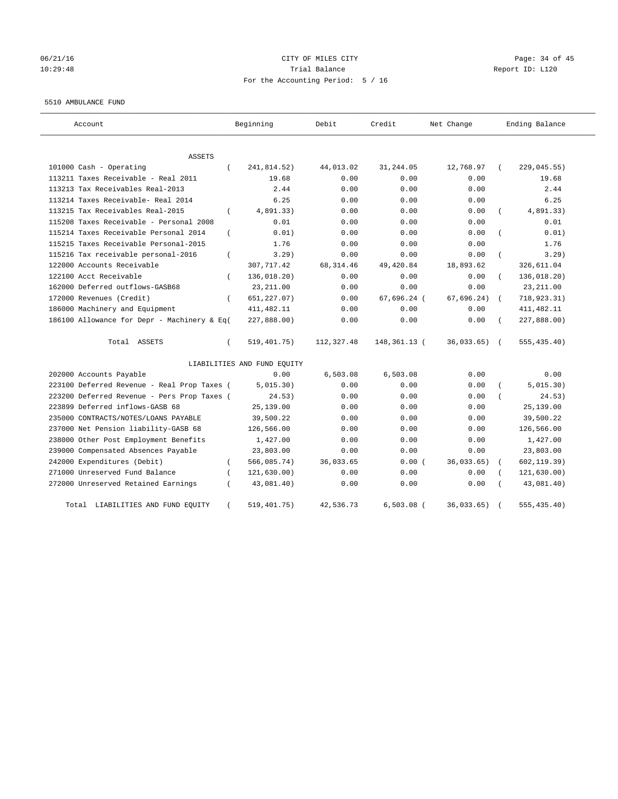## 06/21/16 Page: 34 of 45 10:29:48 Trial Balance Report ID: L120 For the Accounting Period: 5 / 16

#### 5510 AMBULANCE FUND

| Account                                                 | Beginning                   | Debit      | Credit       | Net Change    | Ending Balance |
|---------------------------------------------------------|-----------------------------|------------|--------------|---------------|----------------|
| <b>ASSETS</b>                                           |                             |            |              |               |                |
| 101000 Cash - Operating<br>$\left($                     | 241,814.52)                 | 44,013.02  | 31,244.05    | 12,768.97     | 229,045.55)    |
| 113211 Taxes Receivable - Real 2011                     | 19.68                       | 0.00       | 0.00         | 0.00          | 19.68          |
| 113213 Tax Receivables Real-2013                        | 2.44                        | 0.00       | 0.00         | 0.00          | 2.44           |
| 113214 Taxes Receivable- Real 2014                      | 6.25                        | 0.00       | 0.00         | 0.00          | 6.25           |
| 113215 Tax Receivables Real-2015<br>$\left($            | 4,891.33)                   | 0.00       | 0.00         | 0.00          | 4,891.33)      |
| 115208 Taxes Receivable - Personal 2008                 | 0.01                        | 0.00       | 0.00         | 0.00          | 0.01           |
| 115214 Taxes Receivable Personal 2014<br>$\left($       | 0.01)                       | 0.00       | 0.00         | 0.00          | 0.01)          |
| 115215 Taxes Receivable Personal-2015                   | 1.76                        | 0.00       | 0.00         | 0.00          | 1.76           |
| 115216 Tax receivable personal-2016<br>$\overline{(\ }$ | 3.29)                       | 0.00       | 0.00         | 0.00          | 3.29)          |
| 122000 Accounts Receivable                              | 307,717.42                  | 68, 314.46 | 49,420.84    | 18,893.62     | 326,611.04     |
| 122100 Acct Receivable<br>$\left($                      | 136,018.20)                 | 0.00       | 0.00         | 0.00          | 136,018.20)    |
| 162000 Deferred outflows-GASB68                         | 23, 211.00                  | 0.00       | 0.00         | 0.00          | 23, 211.00     |
| 172000 Revenues (Credit)<br>$\left($                    | 651, 227.07)                | 0.00       | 67,696.24 (  | 67,696.24)    | 718,923.31)    |
| 186000 Machinery and Equipment                          | 411, 482.11                 | 0.00       | 0.00         | 0.00          | 411, 482.11    |
| 186100 Allowance for Depr - Machinery & Eq(             | 227,888.00)                 | 0.00       | 0.00         | 0.00          | 227,888.00)    |
| Total ASSETS<br>$\left($                                | 519, 401.75)                | 112,327.48 | 148,361.13 ( | $36,033.65$ ( | 555, 435.40)   |
|                                                         | LIABILITIES AND FUND EQUITY |            |              |               |                |
| 202000 Accounts Payable                                 | 0.00                        | 6,503.08   | 6.503.08     | 0.00          | 0.00           |
| 223100 Deferred Revenue - Real Prop Taxes (             | 5,015.30)                   | 0.00       | 0.00         | 0.00          | 5,015.30)      |
| 223200 Deferred Revenue - Pers Prop Taxes (             | 24.53)                      | 0.00       | 0.00         | 0.00          | 24.53)         |
| 223899 Deferred inflows-GASB 68                         | 25,139.00                   | 0.00       | 0.00         | 0.00          | 25,139.00      |
| 235000 CONTRACTS/NOTES/LOANS PAYABLE                    | 39,500.22                   | 0.00       | 0.00         | 0.00          | 39,500.22      |
| 237000 Net Pension liability-GASB 68                    | 126,566.00                  | 0.00       | 0.00         | 0.00          | 126,566.00     |
| 238000 Other Post Employment Benefits                   | 1,427.00                    | 0.00       | 0.00         | 0.00          | 1,427.00       |
| 239000 Compensated Absences Payable                     | 23,803.00                   | 0.00       | 0.00         | 0.00          | 23,803.00      |
| 242000 Expenditures (Debit)<br>$\left($                 | 566,085.74)                 | 36,033.65  | 0.00(        | 36,033.65)    | 602, 119.39)   |
| 271000 Unreserved Fund Balance                          | 121, 630.00)                | 0.00       | 0.00         | 0.00          | 121,630.00)    |
| 272000 Unreserved Retained Earnings                     | 43,081.40)                  | 0.00       | 0.00         | 0.00          | 43,081.40)     |
| Total LIABILITIES AND FUND EQUITY<br>$\left($           | 519,401.75)                 | 42,536.73  | $6,503.08$ ( | 36,033.65)    | 555, 435.40)   |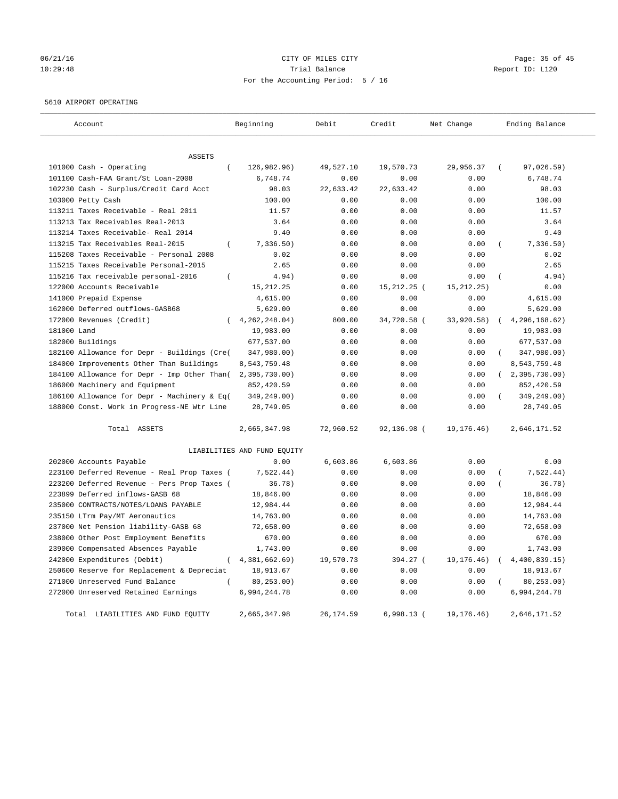## 06/21/16 Page: 35 of 45 10:29:48 Trial Balance Report ID: L120 For the Accounting Period: 5 / 16

## 5610 AIRPORT OPERATING

| Account                                                 | Beginning                   | Debit      | Credit       | Net Change   | Ending Balance            |
|---------------------------------------------------------|-----------------------------|------------|--------------|--------------|---------------------------|
|                                                         |                             |            |              |              |                           |
| ASSETS<br>101000 Cash - Operating<br>$\overline{(\ }$   | 126,982.96)                 | 49,527.10  | 19,570.73    | 29,956.37    | 97,026.59)<br>$\sqrt{2}$  |
| 101100 Cash-FAA Grant/St Loan-2008                      | 6,748.74                    | 0.00       | 0.00         | 0.00         | 6,748.74                  |
| 102230 Cash - Surplus/Credit Card Acct                  | 98.03                       | 22,633.42  | 22,633.42    | 0.00         | 98.03                     |
| 103000 Petty Cash                                       | 100.00                      | 0.00       | 0.00         | 0.00         | 100.00                    |
| 113211 Taxes Receivable - Real 2011                     | 11.57                       | 0.00       | 0.00         | 0.00         | 11.57                     |
| 113213 Tax Receivables Real-2013                        | 3.64                        | 0.00       | 0.00         | 0.00         | 3.64                      |
| 113214 Taxes Receivable- Real 2014                      | 9.40                        | 0.00       | 0.00         | 0.00         | 9.40                      |
| 113215 Tax Receivables Real-2015<br>$\overline{(\ }$    | 7,336.50)                   | 0.00       | 0.00         | 0.00         | 7,336.50)                 |
| 115208 Taxes Receivable - Personal 2008                 | 0.02                        | 0.00       | 0.00         | 0.00         | 0.02                      |
| 115215 Taxes Receivable Personal-2015                   | 2.65                        | 0.00       | 0.00         | 0.00         | 2.65                      |
| 115216 Tax receivable personal-2016<br>$\overline{(\ }$ | 4.94)                       | 0.00       | 0.00         | 0.00         | 4.94)                     |
| 122000 Accounts Receivable                              | 15, 212. 25                 | 0.00       | 15,212.25 (  | 15, 212.25)  | 0.00                      |
| 141000 Prepaid Expense                                  | 4,615.00                    | 0.00       | 0.00         | 0.00         | 4,615.00                  |
| 162000 Deferred outflows-GASB68                         | 5,629.00                    | 0.00       | 0.00         | 0.00         | 5,629.00                  |
| 172000 Revenues (Credit)                                | 4, 262, 248, 04)            | 800.00     | 34,720.58 (  | 33,920.58)   | 4,296,168.62)             |
| 181000 Land                                             | 19,983.00                   | 0.00       | 0.00         | 0.00         | 19,983.00                 |
| 182000 Buildings                                        | 677,537.00                  | 0.00       | 0.00         | 0.00         | 677,537.00                |
| 182100 Allowance for Depr - Buildings (Cre(             | 347,980.00)                 | 0.00       | 0.00         | 0.00         | $\left($<br>347,980.00)   |
| 184000 Improvements Other Than Buildings                | 8,543,759.48                | 0.00       | 0.00         | 0.00         | 8,543,759.48              |
| 184100 Allowance for Depr - Imp Other Than(             | $2,395,730.00$ )            | 0.00       | 0.00         | 0.00         | (2, 395, 730.00)          |
| 186000 Machinery and Equipment                          | 852,420.59                  | 0.00       | 0.00         | 0.00         | 852,420.59                |
| 186100 Allowance for Depr - Machinery & Eq(             | 349,249.00)                 | 0.00       | 0.00         | 0.00         | 349,249.00)               |
| 188000 Const. Work in Progress-NE Wtr Line              | 28,749.05                   | 0.00       | 0.00         | 0.00         | 28,749.05                 |
| Total ASSETS                                            | 2,665,347.98                | 72,960.52  | 92,136.98 (  | 19, 176. 46) | 2,646,171.52              |
|                                                         | LIABILITIES AND FUND EQUITY |            |              |              |                           |
| 202000 Accounts Payable                                 | 0.00                        | 6,603.86   | 6,603.86     | 0.00         | 0.00                      |
| 223100 Deferred Revenue - Real Prop Taxes (             | 7,522.44)                   | 0.00       | 0.00         | 0.00         | 7,522.44)                 |
| 223200 Deferred Revenue - Pers Prop Taxes (             | 36.78)                      | 0.00       | 0.00         | 0.00         | 36.78)                    |
| 223899 Deferred inflows-GASB 68                         | 18,846.00                   | 0.00       | 0.00         | 0.00         | 18,846.00                 |
| 235000 CONTRACTS/NOTES/LOANS PAYABLE                    | 12,984.44                   | 0.00       | 0.00         | 0.00         | 12,984.44                 |
| 235150 LTrm Pay/MT Aeronautics                          | 14,763.00                   | 0.00       | 0.00         | 0.00         | 14,763.00                 |
| 237000 Net Pension liability-GASB 68                    | 72,658.00                   | 0.00       | 0.00         | 0.00         | 72,658.00                 |
| 238000 Other Post Employment Benefits                   | 670.00                      | 0.00       | 0.00         | 0.00         | 670.00                    |
| 239000 Compensated Absences Payable                     | 1,743.00                    | 0.00       | 0.00         | 0.00         | 1,743.00                  |
| 242000 Expenditures (Debit)<br>$\left($                 | 4,381,662.69)               | 19,570.73  | 394.27 (     | 19, 176. 46) | 4,400,839.15)<br>$\left($ |
| 250600 Reserve for Replacement & Depreciat              | 18,913.67                   | 0.00       | 0.00         | 0.00         | 18,913.67                 |
| 271000 Unreserved Fund Balance                          | 80,253.00)                  | 0.00       | 0.00         | 0.00         | 80, 253.00)               |
| 272000 Unreserved Retained Earnings                     | 6,994,244.78                | 0.00       | 0.00         | 0.00         | 6,994,244.78              |
| Total LIABILITIES AND FUND EQUITY                       | 2,665,347.98                | 26, 174.59 | $6,998.13$ ( | 19, 176. 46) | 2,646,171.52              |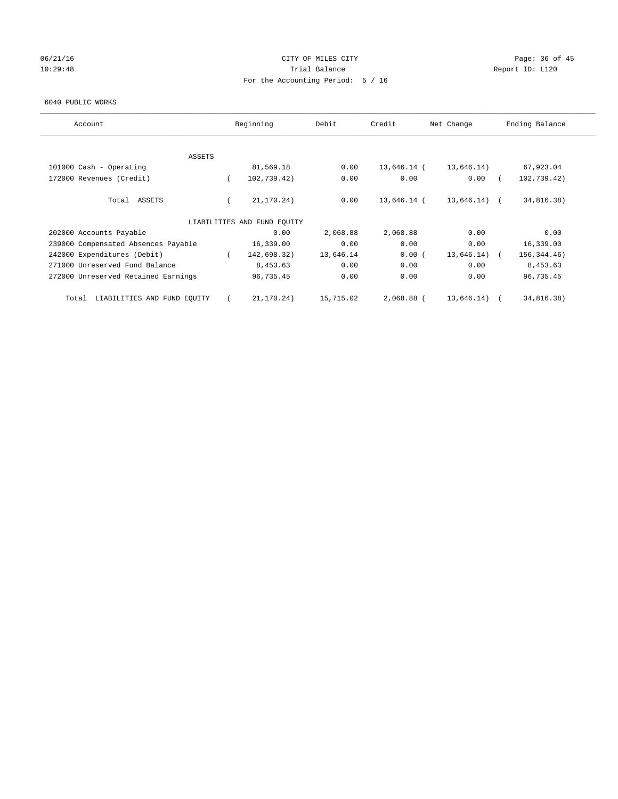# 06/21/16 Page: 36 of 45 10:29:48 **Trial Balance Trial Balance Report ID:** L120 For the Accounting Period: 5 / 16

#### 6040 PUBLIC WORKS

| Account                              | Beginning                   | Debit     | Credit      | Net Change   | Ending Balance |
|--------------------------------------|-----------------------------|-----------|-------------|--------------|----------------|
| ASSETS                               |                             |           |             |              |                |
| 101000 Cash - Operating              | 81,569.18                   | 0.00      | 13,646.14 ( | 13,646.14)   | 67,923.04      |
| 172000 Revenues (Credit)             | 102,739.42)                 | 0.00      | 0.00        | 0.00         | 102,739.42)    |
| Total ASSETS                         | 21,170.24)                  | 0.00      | 13,646.14 ( | 13,646.14) ( | 34,816.38)     |
|                                      | LIABILITIES AND FUND EQUITY |           |             |              |                |
| 202000 Accounts Payable              | 0.00                        | 2,068.88  | 2,068.88    | 0.00         | 0.00           |
| 239000 Compensated Absences Payable  | 16,339.00                   | 0.00      | 0.00        | 0.00         | 16,339.00      |
| 242000 Expenditures (Debit)          | 142,698.32)                 | 13,646.14 | 0.00(       | 13,646.14)   | 156, 344. 46)  |
| 271000 Unreserved Fund Balance       | 8,453.63                    | 0.00      | 0.00        | 0.00         | 8,453.63       |
| 272000 Unreserved Retained Earnings  | 96,735.45                   | 0.00      | 0.00        | 0.00         | 96,735.45      |
| LIABILITIES AND FUND EQUITY<br>Total | 21,170.24)                  | 15,715.02 | 2,068.88 (  | 13,646.14)   | 34,816.38)     |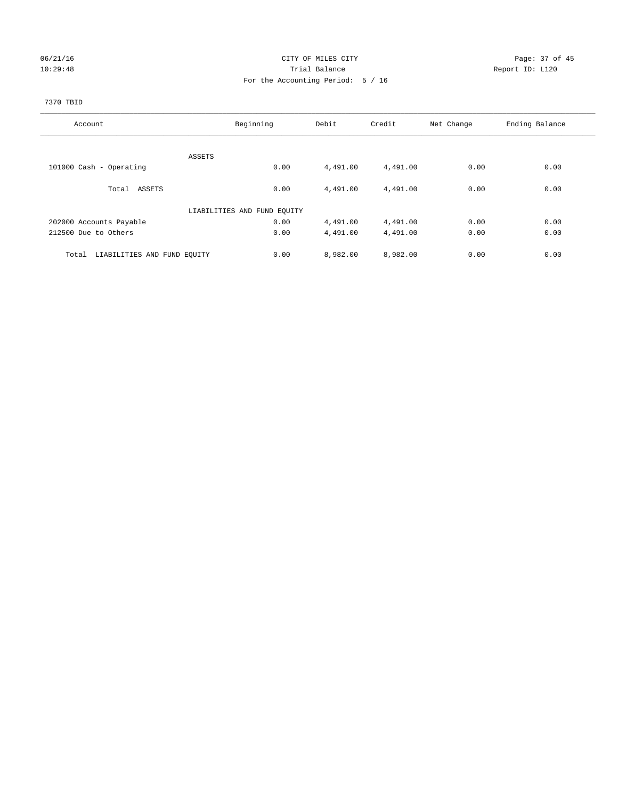# 06/21/16 Page: 37 of 45 10:29:48 **Trial Balance Trial Balance Report ID:** L120 For the Accounting Period: 5 / 16

## 7370 TBID

| Account                              | Beginning                   | Debit    | Credit   | Net Change | Ending Balance |
|--------------------------------------|-----------------------------|----------|----------|------------|----------------|
|                                      |                             |          |          |            |                |
|                                      | ASSETS                      |          |          |            |                |
| 101000 Cash - Operating              | 0.00                        | 4,491.00 | 4,491.00 | 0.00       | 0.00           |
| Total ASSETS                         | 0.00                        | 4,491.00 | 4,491.00 | 0.00       | 0.00           |
|                                      | LIABILITIES AND FUND EQUITY |          |          |            |                |
| 202000 Accounts Payable              | 0.00                        | 4,491.00 | 4,491.00 | 0.00       | 0.00           |
| 212500 Due to Others                 | 0.00                        | 4,491.00 | 4,491.00 | 0.00       | 0.00           |
| LIABILITIES AND FUND EQUITY<br>Total | 0.00                        | 8,982.00 | 8,982.00 | 0.00       | 0.00           |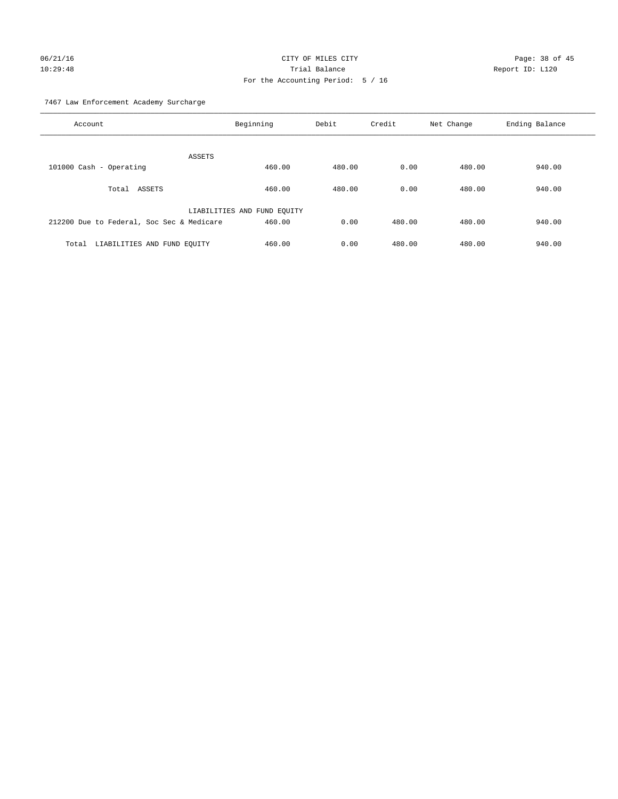# 06/21/16 Page: 38 of 45 10:29:48 Trial Balance Report ID: L120 For the Accounting Period: 5 / 16

7467 Law Enforcement Academy Surcharge

| Account                                   | Beginning                   | Debit  | Credit | Net Change | Ending Balance |
|-------------------------------------------|-----------------------------|--------|--------|------------|----------------|
|                                           | ASSETS                      |        |        |            |                |
| 101000 Cash - Operating                   | 460.00                      | 480.00 | 0.00   | 480.00     | 940.00         |
| Total ASSETS                              | 460.00                      | 480.00 | 0.00   | 480.00     | 940.00         |
|                                           | LIABILITIES AND FUND EQUITY |        |        |            |                |
| 212200 Due to Federal, Soc Sec & Medicare | 460.00                      | 0.00   | 480.00 | 480.00     | 940.00         |
| LIABILITIES AND FUND EQUITY<br>Total      | 460.00                      | 0.00   | 480.00 | 480.00     | 940.00         |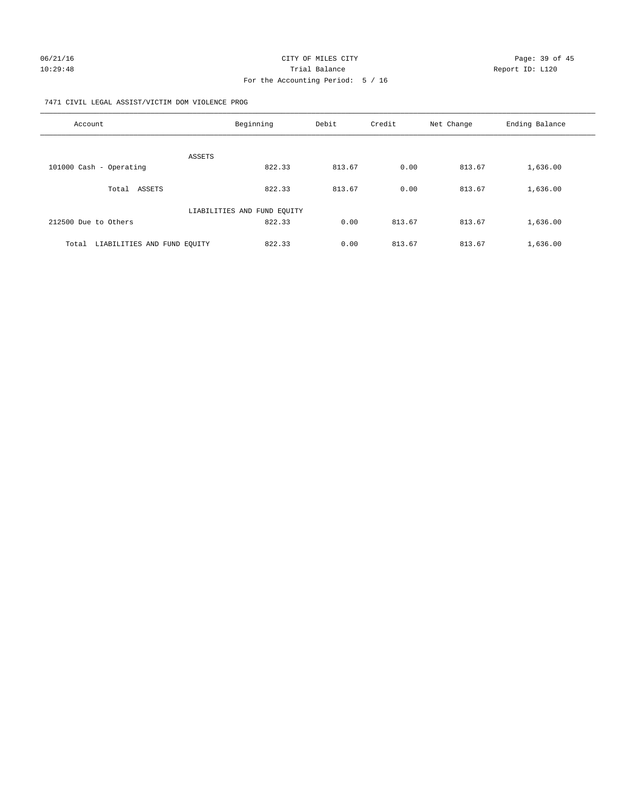## 7471 CIVIL LEGAL ASSIST/VICTIM DOM VIOLENCE PROG

| Account                              | Beginning                   | Debit  | Credit | Net Change | Ending Balance |
|--------------------------------------|-----------------------------|--------|--------|------------|----------------|
| <b>ASSETS</b>                        |                             |        |        |            |                |
| 101000 Cash - Operating              | 822.33                      | 813.67 | 0.00   | 813.67     | 1,636.00       |
| ASSETS<br>Total                      | 822.33                      | 813.67 | 0.00   | 813.67     | 1,636.00       |
|                                      | LIABILITIES AND FUND EQUITY |        |        |            |                |
| 212500 Due to Others                 | 822.33                      | 0.00   | 813.67 | 813.67     | 1,636.00       |
| LIABILITIES AND FUND EOUITY<br>Total | 822.33                      | 0.00   | 813.67 | 813.67     | 1,636.00       |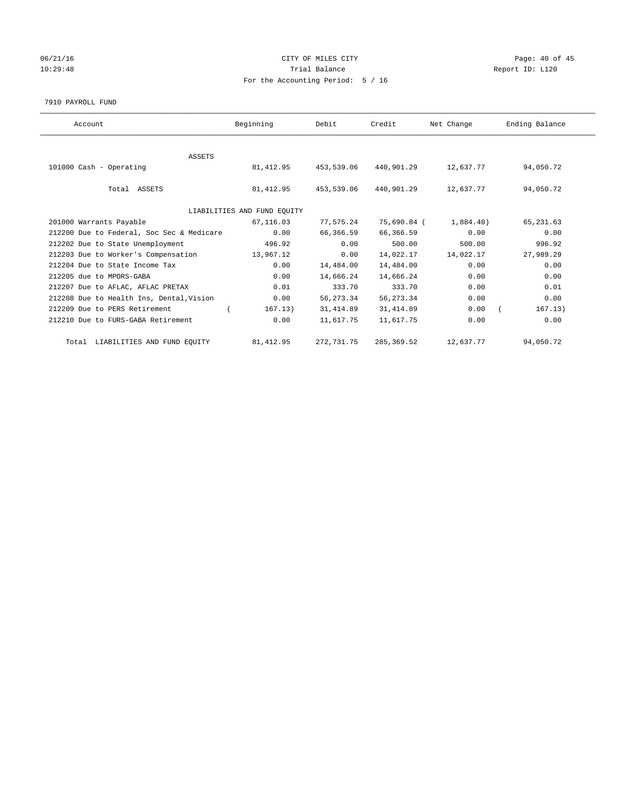# 06/21/16 Page: 40 of 45 10:29:48 **Trial Balance Trial Balance Report ID:** L120 For the Accounting Period: 5 / 16

#### 7910 PAYROLL FUND

| Account                                   | Beginning                   | Debit      | Credit      | Net Change | Ending Balance |
|-------------------------------------------|-----------------------------|------------|-------------|------------|----------------|
|                                           |                             |            |             |            |                |
| <b>ASSETS</b>                             |                             |            |             |            |                |
| 101000 Cash - Operating                   | 81,412.95                   | 453,539.06 | 440,901.29  | 12,637.77  | 94,050.72      |
|                                           |                             |            |             |            |                |
| Total ASSETS                              | 81,412.95                   | 453,539.06 | 440,901.29  | 12,637.77  | 94,050.72      |
|                                           |                             |            |             |            |                |
|                                           | LIABILITIES AND FUND EQUITY |            |             |            |                |
| 201000 Warrants Payable                   | 67,116.03                   | 77,575.24  | 75,690.84 ( | 1,884.40)  | 65,231.63      |
| 212200 Due to Federal, Soc Sec & Medicare | 0.00                        | 66,366.59  | 66,366.59   | 0.00       | 0.00           |
| 212202 Due to State Unemployment          | 496.92                      | 0.00       | 500.00      | 500.00     | 996.92         |
| 212203 Due to Worker's Compensation       | 13,967.12                   | 0.00       | 14,022.17   | 14,022.17  | 27,989.29      |
| 212204 Due to State Income Tax            | 0.00                        | 14,484.00  | 14,484.00   | 0.00       | 0.00           |
| 212205 due to MPORS-GABA                  | 0.00                        | 14,666.24  | 14,666.24   | 0.00       | 0.00           |
| 212207 Due to AFLAC, AFLAC PRETAX         | 0.01                        | 333.70     | 333.70      | 0.00       | 0.01           |
| 212208 Due to Health Ins, Dental, Vision  | 0.00                        | 56, 273.34 | 56,273.34   | 0.00       | 0.00           |
| 212209 Due to PERS Retirement             | 167.13)                     | 31, 414.89 | 31, 414.89  | 0.00       | 167.13)        |
| 212210 Due to FURS-GABA Retirement        | 0.00                        | 11,617.75  | 11,617.75   | 0.00       | 0.00           |
| Total LIABILITIES AND FUND EQUITY         | 81, 412.95                  | 272,731.75 | 285, 369.52 | 12,637.77  | 94,050.72      |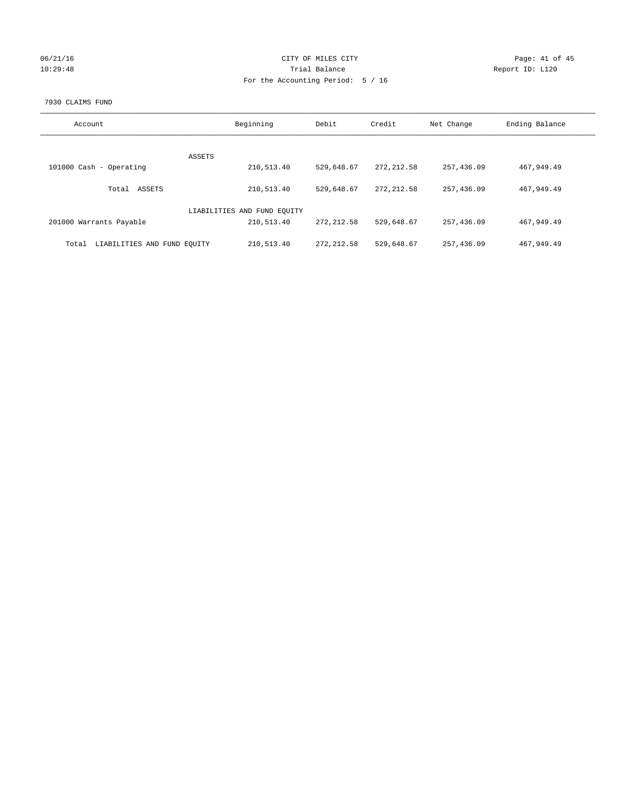| 06/21/16 |  |
|----------|--|
| 10:29:48 |  |

## CITY OF MILES CITY CONTROL CONTROL CONTROL CITY 10:29:48 Trial Balance Report ID: L120 For the Accounting Period: 5 / 16

## 7930 CLAIMS FUND

| Account                              | Beginning                   | Debit       | Credit      | Net Change | Ending Balance |
|--------------------------------------|-----------------------------|-------------|-------------|------------|----------------|
|                                      |                             |             |             |            |                |
|                                      | <b>ASSETS</b>               |             |             |            |                |
| 101000 Cash - Operating              | 210,513.40                  | 529,648.67  | 272, 212.58 | 257,436.09 | 467,949.49     |
| ASSETS<br>Total                      | 210,513.40                  | 529,648.67  | 272, 212.58 | 257,436.09 | 467,949.49     |
|                                      | LIABILITIES AND FUND EQUITY |             |             |            |                |
| 201000 Warrants Payable              | 210,513.40                  | 272, 212.58 | 529,648.67  | 257,436.09 | 467,949.49     |
| LIABILITIES AND FUND EQUITY<br>Total | 210,513.40                  | 272, 212.58 | 529,648.67  | 257,436.09 | 467,949.49     |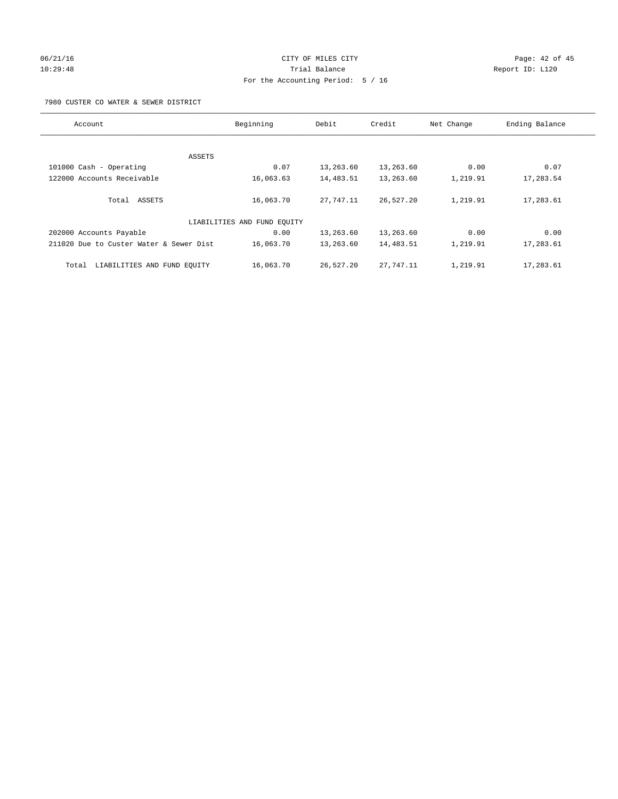## 06/21/16 Page: 42 of 45 10:29:48 Trial Balance Report ID: L120 For the Accounting Period: 5 / 16

7980 CUSTER CO WATER & SEWER DISTRICT

| Account                                 | Beginning                   | Debit     | Credit    | Net Change | Ending Balance |
|-----------------------------------------|-----------------------------|-----------|-----------|------------|----------------|
|                                         |                             |           |           |            |                |
| ASSETS                                  |                             |           |           |            |                |
| 101000 Cash - Operating                 | 0.07                        | 13,263.60 | 13,263.60 | 0.00       | 0.07           |
| 122000 Accounts Receivable              | 16,063.63                   | 14,483.51 | 13,263.60 | 1,219.91   | 17,283.54      |
|                                         |                             |           |           |            |                |
| Total ASSETS                            | 16,063.70                   | 27,747.11 | 26,527.20 | 1,219.91   | 17,283.61      |
|                                         | LIABILITIES AND FUND EQUITY |           |           |            |                |
| 202000 Accounts Payable                 | 0.00                        | 13,263.60 | 13,263.60 | 0.00       | 0.00           |
| 211020 Due to Custer Water & Sewer Dist | 16,063.70                   | 13,263.60 | 14,483.51 | 1,219.91   | 17,283.61      |
|                                         |                             |           |           |            |                |
| LIABILITIES AND FUND EQUITY<br>Total    | 16,063.70                   | 26,527.20 | 27,747.11 | 1,219.91   | 17,283.61      |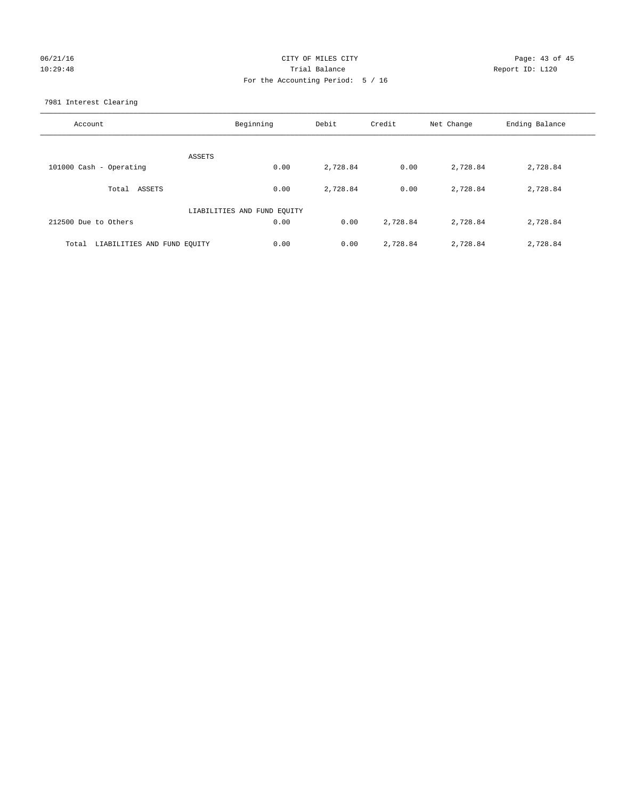# 06/21/16 Page: 43 of 45 10:29:48 Trial Balance Report ID: L120 For the Accounting Period: 5 / 16

7981 Interest Clearing

| Account                           | Beginning                   | Debit    | Credit   | Net Change | Ending Balance |
|-----------------------------------|-----------------------------|----------|----------|------------|----------------|
|                                   | ASSETS                      |          |          |            |                |
| 101000 Cash - Operating           | 0.00                        | 2,728.84 | 0.00     | 2,728.84   | 2,728.84       |
| Total ASSETS                      | 0.00                        | 2,728.84 | 0.00     | 2,728.84   | 2,728.84       |
|                                   | LIABILITIES AND FUND EQUITY |          |          |            |                |
| 212500 Due to Others              | 0.00                        | 0.00     | 2,728.84 | 2,728.84   | 2,728.84       |
| Total LIABILITIES AND FUND EQUITY | 0.00                        | 0.00     | 2,728.84 | 2,728.84   | 2,728.84       |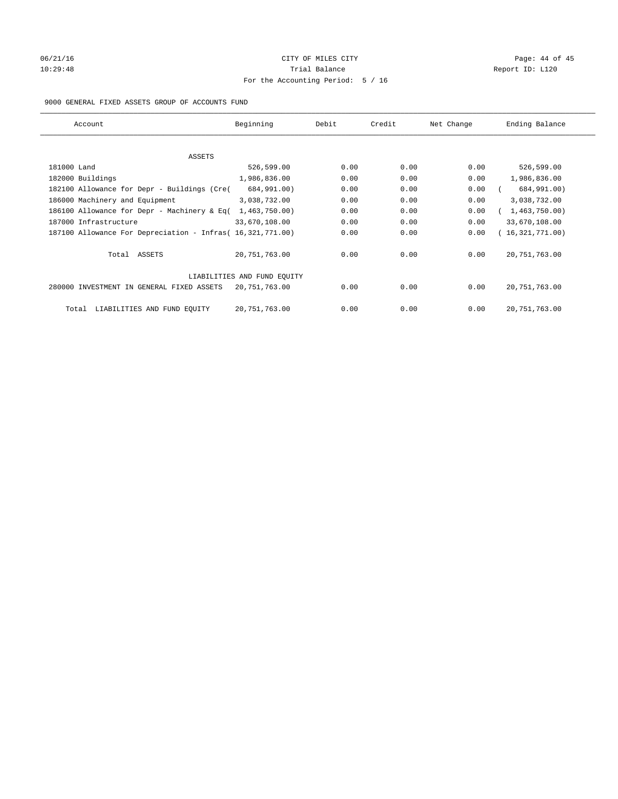# 06/21/16 Page: 44 of 45 10:29:48 Report ID: L120 For the Accounting Period: 5 / 16

## 9000 GENERAL FIXED ASSETS GROUP OF ACCOUNTS FUND

| Account                                                    | Beginning                   | Debit | Credit | Net Change | Ending Balance  |
|------------------------------------------------------------|-----------------------------|-------|--------|------------|-----------------|
| ASSETS                                                     |                             |       |        |            |                 |
| 181000 Land                                                | 526,599.00                  | 0.00  | 0.00   | 0.00       | 526,599.00      |
| 182000 Buildings                                           | 1,986,836.00                | 0.00  | 0.00   | 0.00       | 1,986,836.00    |
| 182100 Allowance for Depr - Buildings (Cre(                | 684,991.00)                 | 0.00  | 0.00   | 0.00       | 684,991.00)     |
| 186000 Machinery and Equipment                             | 3,038,732.00                | 0.00  | 0.00   | 0.00       | 3,038,732.00    |
| 186100 Allowance for Depr - Machinery & Eq(                | 1,463,750.00)               | 0.00  | 0.00   | 0.00       | 1,463,750.00)   |
| 187000 Infrastructure                                      | 33,670,108.00               | 0.00  | 0.00   | 0.00       | 33,670,108.00   |
| 187100 Allowance For Depreciation - Infras( 16,321,771.00) |                             | 0.00  | 0.00   | 0.00       | 16,321,771.00)  |
| Total ASSETS                                               | 20,751,763.00               | 0.00  | 0.00   | 0.00       | 20, 751, 763.00 |
|                                                            | LIABILITIES AND FUND EQUITY |       |        |            |                 |
| 280000 INVESTMENT IN GENERAL FIXED ASSETS                  | 20,751,763.00               | 0.00  | 0.00   | 0.00       | 20, 751, 763.00 |
| LIABILITIES AND FUND EQUITY<br>Total                       | 20, 751, 763.00             | 0.00  | 0.00   | 0.00       | 20, 751, 763.00 |